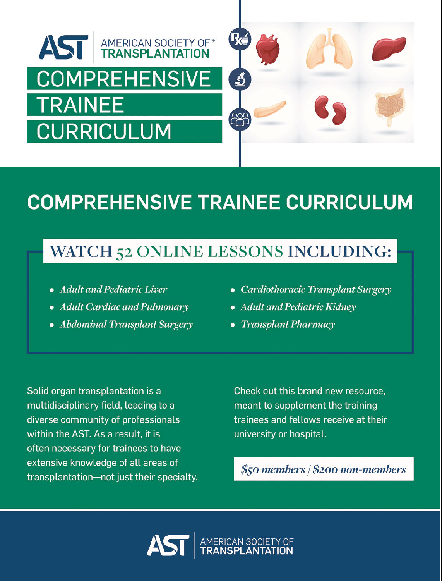

# **COMPREHENSIVE TRAINEE CURRICULUM**

## **WATCH 52 ONLINE LESSONS INCLUDING:**

- Adult and Pediatric Liver
- Adult Cardiac and Pulmonary
- Abdominal Transplant Surgery
- Cardiothoracic Transplant Surgery
- Adult and Pediatric Kidney
- Transplant Pharmacy

Solid organ transplantation is a multidisciplinary field, leading to a diverse community of professionals within the AST. As a result, it is often necessary for trainees to have extensive knowledge of all areas of transplantation-not just their specialty.

Check out this brand new resource, meant to supplement the training trainees and fellows receive at their university or hospital.

 $$50$  members  $|$200$  non-members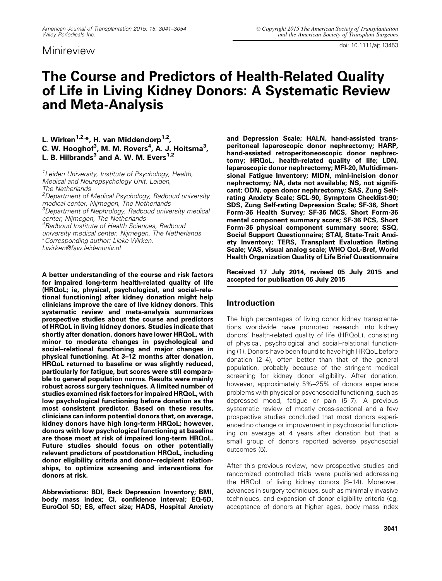doi: 10.1111/ajt.13453

### The Course and Predictors of Health-Related Quality of Life in Living Kidney Donors: A Systematic Review and Meta-Analysis

#### L. Wirken<sup>1,2,</sup>\*, H. van Middendorp<sup>1,2</sup>, C. W. Hooghof $^3$ , M. M. Rovers $^4$ , A. J. Hoitsma $^3$ , L. B. Hilbrands $^3$  and A. W. M. Evers $^{1,2}$

*1 Leiden University, Institute of Psychology, Health, Medical and Neuropsychology Unit, Leiden, The Netherlands*

*<sup>2</sup>Department of Medical Psychology, Radboud university medical center, Nijmegen, The Netherlands*

*<sup>3</sup>Department of Nephrology, Radboud university medical center, Nijmegen, The Netherlands*

*<sup>4</sup>Radboud Institute of Health Sciences, Radboud*

*university medical center, Nijmegen, The Netherlands*

*Corresponding author: Lieke Wirken,*

*l.wirken@fsw.leidenuniv.nl*

A better understanding of the course and risk factors for impaired long-term health-related quality of life (HRQoL; ie, physical, psychological, and social–relational functioning) after kidney donation might help clinicians improve the care of live kidney donors. This systematic review and meta-analysis summarizes prospective studies about the course and predictors of HRQoL in living kidney donors. Studies indicate that shortly after donation, donors have lower HRQoL, with minor to moderate changes in psychological and social–relational functioning and major changes in physical functioning. At 3–12 months after donation, HRQoL returned to baseline or was slightly reduced, particularly for fatigue, but scores were still comparable to general population norms. Results were mainly robust across surgery techniques. A limited number of studies examined risk factors for impaired HRQoL, with low psychological functioning before donation as the most consistent predictor. Based on these results, clinicians can inform potential donors that, on average, kidney donors have high long-term HRQoL; however, donors with low psychological functioning at baseline are those most at risk of impaired long-term HRQoL. Future studies should focus on other potentially relevant predictors of postdonation HRQoL, including donor eligibility criteria and donor–recipient relationships, to optimize screening and interventions for donors at risk.

Abbreviations: BDI, Beck Depression Inventory; BMI, body mass index; CI, confidence interval; EQ-5D, EuroQol 5D; ES, effect size; HADS, Hospital Anxiety and Depression Scale; HALN, hand-assisted transperitoneal laparoscopic donor nephrectomy; HARP, hand-assisted retroperitoneoscopic donor nephrectomy; HRQoL, health-related quality of life; LDN, laparoscopic donor nephrectomy; MFI-20, Multidimensional Fatigue Inventory; MIDN, mini-incision donor nephrectomy; NA, data not available; NS, not significant; ODN, open donor nephrectomy; SAS, Zung Selfrating Anxiety Scale; SCL-90, Symptom Checklist-90; SDS, Zung Self-rating Depression Scale; SF-36, Short Form-36 Health Survey; SF-36 MCS, Short Form-36 mental component summary score; SF-36 PCS, Short Form-36 physical component summary score; SSQ, Social Support Questionnaire; STAI, State-Trait Anxiety Inventory; TERS, Transplant Evaluation Rating Scale; VAS, visual analog scale; WHO QoL-Bref, World Health Organization Quality of Life Brief Questionnaire

Received 17 July 2014, revised 05 July 2015 and accepted for publication 06 July 2015

#### Introduction

The high percentages of living donor kidney transplantations worldwide have prompted research into kidney donors' health-related quality of life (HRQoL), consisting of physical, psychological and social–relational functioning (1). Donors have been found to have high HRQoL before donation (2–4), often better than that of the general population, probably because of the stringent medical screening for kidney donor eligibility. After donation, however, approximately 5%–25% of donors experience problems with physical or psychosocial functioning, such as depressed mood, fatigue or pain (5–7). A previous systematic review of mostly cross-sectional and a few prospective studies concluded that most donors experienced no change or improvement in psychosocial functioning on average at 4 years after donation but that a small group of donors reported adverse psychosocial outcomes (5).

After this previous review, new prospective studies and randomized controlled trials were published addressing the HRQoL of living kidney donors (8–14). Moreover, advances in surgery techniques, such as minimally invasive techniques, and expansion of donor eligibility criteria (eg, acceptance of donors at higher ages, body mass index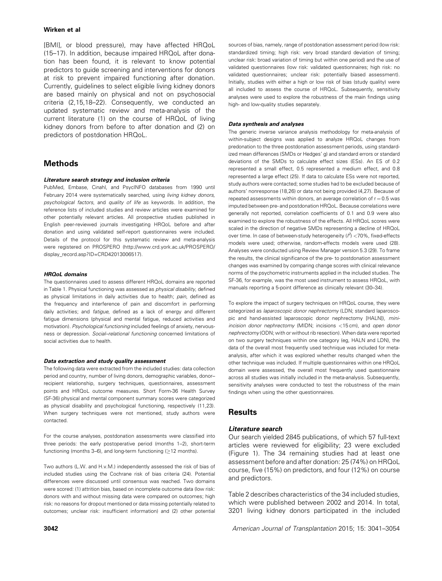[BMI], or blood pressure), may have affected HRQoL (15–17). In addition, because impaired HRQoL after donation has been found, it is relevant to know potential predictors to guide screening and interventions for donors at risk to prevent impaired functioning after donation. Currently, guidelines to select eligible living kidney donors are based mainly on physical and not on psychosocial criteria (2,15,18–22). Consequently, we conducted an updated systematic review and meta-analysis of the current literature (1) on the course of HRQoL of living kidney donors from before to after donation and (2) on predictors of postdonation HRQoL.

#### Methods

#### Literature search strategy and inclusion criteria

PubMed, Embase, Cinahl, and PsycINFO databases from 1990 until February 2014 were systematically searched, using *living kidney donors, psychological factors*, and *quality of life* as keywords. In addition, the reference lists of included studies and review articles were examined for other potentially relevant articles. All prospective studies published in English peer-reviewed journals investigating HRQoL before and after donation and using validated self-report questionnaires were included. Details of the protocol for this systematic review and meta-analysis were registered on PROSPERO [\(http://www.crd.york.ac.uk/PROSPERO/](http://www.crd.york.ac.uk/PROSPERO/display_record.asp?ID=CRD42013006517) [display\\_record.asp?ID=CRD42013006517\)](http://www.crd.york.ac.uk/PROSPERO/display_record.asp?ID=CRD42013006517).

#### HRQoL domains

The questionnaires used to assess different HRQoL domains are reported in Table 1. Physical functioning was assessed as *physical disability*, defined as physical limitations in daily activities due to health; *pain*, defined as the frequency and interference of pain and discomfort in performing daily activities; and *fatigue*, defined as a lack of energy and different fatigue dimensions (physical and mental fatigue, reduced activities and motivation). *Psychological functioning* included feelings of anxiety, nervousness or depression. *Social–relational functioning* concerned limitations of social activities due to health.

#### Data extraction and study quality assessment

The following data were extracted from the included studies: data collection period and country, number of living donors, demographic variables, donor– recipient relationship, surgery techniques, questionnaires, assessment points and HRQoL outcome measures. Short Form-36 Health Survey (SF-36) physical and mental component summary scores were categorized as physical disability and psychological functioning, respectively (11,23). When surgery techniques were not mentioned, study authors were contacted.

For the course analyses, postdonation assessments were classified into three periods: the early postoperative period (months 1–2), short-term functioning (months 3–6), and long-term functioning  $(≥12$  months).

Two authors (L.W. and H.v.M.) independently assessed the risk of bias of included studies using the Cochrane risk of bias criteria (24). Potential differences were discussed until consensus was reached. Two domains were scored: (1) attrition bias, based on incomplete outcome data (low risk: donors with and without missing data were compared on outcomes; high risk: no reasons for dropout mentioned or data missing potentially related to outcomes; unclear risk: insufficient information) and (2) other potential sources of bias, namely, range of postdonation assessment period (low risk: standardized timing; high risk: very broad standard deviation of timing; unclear risk: broad variation of timing but within one period) and the use of validated questionnaires (low risk: validated questionnaires; high risk: no validated questionnaires; unclear risk: potentially biased assessment). Initially, studies with either a high or low risk of bias (study quality) were all included to assess the course of HRQoL. Subsequently, sensitivity analyses were used to explore the robustness of the main findings using high- and low-quality studies separately.

#### Data synthesis and analyses

The generic inverse variance analysis methodology for meta-analysis of within-subject designs was applied to analyze HRQoL changes from predonation to the three postdonation assessment periods, using standardized mean differences (SMDs or Hedges' g) and standard errors or standard deviations of the SMDs to calculate effect sizes (ESs). An ES of 0.2 represented a small effect, 0.5 represented a medium effect, and 0.8 represented a large effect (25). If data to calculate ESs were not reported, study authors were contacted; some studies had to be excluded because of authors' nonresponse (18,26) or data not being provided (4,27). Because of repeated assessments within donors, an average correlation of  $r = 0.5$  was imputed between pre- and postdonation HRQoL. Because correlations were generally not reported, correlation coefficients of 0.1 and 0.9 were also examined to explore the robustness of the effects. All HRQoL scores were scaled in the direction of negative SMDs representing a decline of HRQoL over time. In case of between-study heterogeneity ( $l^2$ ) <70%, fixed-effects models were used; otherwise, random-effects models were used (28). Analyses were conducted using Review Manager version 5.3 (29). To frame the results, the clinical significance of the pre- to postdonation assessment changes was examined by comparing change scores with clinical relevance norms of the psychometric instruments applied in the included studies. The SF-36, for example, was the most used instrument to assess HRQoL, with manuals reporting a 5-point difference as clinically relevant (30–34).

To explore the impact of surgery techniques on HRQoL course, they were categorized as *laparoscopic donor nephrectomy* (LDN; standard laparoscopic and hand-assisted laparoscopic donor nephrectomy [HALN]), *miniincision donor nephrectomy* (MIDN; incisions <15 cm), and *open donor nephrectomy* (ODN; with or without rib resection). When data were reported on two surgery techniques within one category (eg, HALN and LDN), the data of the overall most frequently used technique was included for metaanalysis, after which it was explored whether results changed when the other technique was included. If multiple questionnaires within one HRQoL domain were assessed, the overall most frequently used questionnaire across all studies was initially included in the meta-analysis. Subsequently, sensitivity analyses were conducted to test the robustness of the main findings when using the other questionnaires.

#### **Results**

#### Literature search

Our search yielded 2845 publications, of which 57 full-text articles were reviewed for eligibility; 23 were excluded (Figure 1). The 34 remaining studies had at least one assessment before and after donation: 25 (74%) on HRQoL course, five (15%) on predictors, and four (12%) on course and predictors.

Table 2 describes characteristics of the 34 included studies, which were published between 2002 and 2014. In total, 3201 living kidney donors participated in the included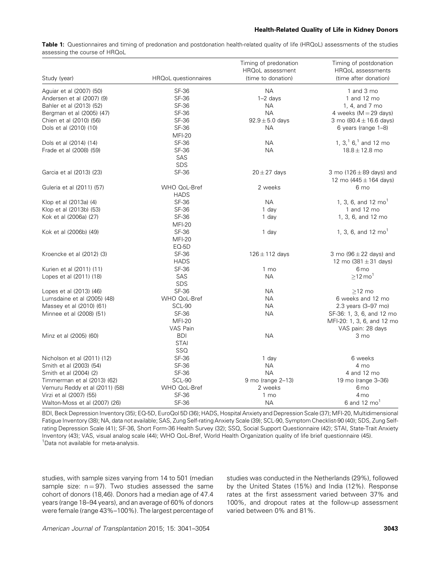#### Health-Related Quality of Life in Kidney Donors

Table 1: Questionnaires and timing of predonation and postdonation health-related quality of life (HRQoL) assessments of the studies assessing the course of HRQoL

| Study (year)                   | HRQoL questionnaires        | Timing of predonation<br>HRQoL assessment<br>(time to donation) | Timing of postdonation<br>HRQoL assessments<br>(time after donation) |
|--------------------------------|-----------------------------|-----------------------------------------------------------------|----------------------------------------------------------------------|
|                                |                             |                                                                 |                                                                      |
| Aguiar et al (2007) (50)       | SF-36                       | <b>NA</b>                                                       | 1 and 3 mo                                                           |
| Andersen et al (2007) (9)      | <b>SF-36</b>                | $1-2$ days                                                      | 1 and 12 mo                                                          |
| Bahler et al (2013) (52)       | SF-36                       | <b>NA</b>                                                       | 1, 4, and 7 mo                                                       |
| Bergman et al (2005) (47)      | <b>SF-36</b>                | <b>NA</b>                                                       | 4 weeks ( $M = 29$ days)                                             |
| Chien et al (2010) (56)        | SF-36                       | $92.9 \pm 5.0$ days                                             | 3 mo $(80.4 \pm 16.6$ days)                                          |
| Dols et al (2010) (10)         | SF-36                       | <b>NA</b>                                                       | 6 years (range 1-8)                                                  |
|                                | <b>MFI-20</b>               |                                                                 |                                                                      |
| Dols et al (2014) (14)         | <b>SF-36</b>                | <b>NA</b>                                                       | 1, $31$ 6 <sup>1</sup> and 12 mo                                     |
| Frade et al (2008) (59)        | SF-36                       | <b>NA</b>                                                       | $18.8 \pm 12.8$ mo                                                   |
|                                | SAS                         |                                                                 |                                                                      |
|                                | SDS                         |                                                                 |                                                                      |
| Garcia et al (2013) (23)       | SF-36                       | $20 \pm 27$ days                                                | 3 mo (126 $\pm$ 89 days) and<br>12 mo $(445 \pm 164$ days)           |
| Guleria et al (2011) (57)      | WHO QoL-Bref<br><b>HADS</b> | 2 weeks                                                         | 6 mo                                                                 |
| Klop et al (2013a) (4)         | SF-36                       | <b>NA</b>                                                       | 1, 3, 6, and 12 $mo1$                                                |
| Klop et al (2013b) (53)        | SF-36                       | 1 day                                                           | 1 and 12 mo                                                          |
| Kok et al (2006a) (27)         | SF-36                       | 1 day                                                           | 1, 3, 6, and 12 mo                                                   |
|                                | <b>MFI-20</b>               |                                                                 |                                                                      |
| Kok et al (2006b) (49)         | <b>SF-36</b>                | 1 day                                                           | 1, 3, 6, and 12 $mo1$                                                |
|                                | <b>MFI-20</b>               |                                                                 |                                                                      |
|                                | EQ-5D                       |                                                                 |                                                                      |
| Kroencke et al (2012) (3)      | <b>SF-36</b>                | $126 \pm 112$ days                                              | 3 mo $(96 \pm 22$ days) and                                          |
|                                | <b>HADS</b>                 |                                                                 | 12 mo $(381 \pm 31$ days)                                            |
| Kurien et al (2011) (11)       | <b>SF-36</b>                | 1 mo                                                            | 6 <sub>mo</sub>                                                      |
| Lopes et al (2011) (18)        | SAS                         | <b>NA</b>                                                       | $\geq$ 12 mo <sup>1</sup>                                            |
|                                | <b>SDS</b>                  |                                                                 |                                                                      |
| Lopes et al (2013) (46)        | SF-36                       | <b>NA</b>                                                       | $>12$ mo                                                             |
| Lumsdaine et al (2005) (48)    | WHO QoL-Bref                | <b>NA</b>                                                       | 6 weeks and 12 mo                                                    |
| Massey et al (2010) (61)       | SCL-90                      | <b>NA</b>                                                       | 2.3 years (3-97 mo)                                                  |
| Minnee et al (2008) (51)       | SF-36                       | <b>NA</b>                                                       | SF-36: 1, 3, 6, and 12 mo                                            |
|                                | <b>MFI-20</b>               |                                                                 |                                                                      |
|                                | VAS Pain                    |                                                                 | MFI-20: 1, 3, 6, and 12 mo                                           |
|                                |                             |                                                                 | VAS pain: 28 days                                                    |
| Minz et al (2005) (60)         | <b>BDI</b>                  | <b>NA</b>                                                       | 3 mo                                                                 |
|                                | <b>STAI</b>                 |                                                                 |                                                                      |
|                                | SSQ                         |                                                                 |                                                                      |
| Nicholson et al (2011) (12)    | SF-36                       | 1 day                                                           | 6 weeks                                                              |
| Smith et al (2003) (54)        | <b>SF-36</b>                | <b>NA</b>                                                       | 4 mo                                                                 |
| Smith et al (2004) (2)         | SF-36                       | <b>NA</b>                                                       | 4 and 12 mo                                                          |
| Timmerman et al (2013) (62)    | SCL-90                      | 9 mo (range 2-13)                                               | 19 mo (range 3-36)                                                   |
| Vemuru Reddy et al (2011) (58) | WHO QoL-Bref                | 2 weeks                                                         | 6 <sub>mo</sub>                                                      |
| Virzi et al (2007) (55)        | SF-36                       | 1 mo                                                            | 4 <sub>mo</sub>                                                      |
| Walton-Moss et al (2007) (26)  | SF-36                       | <b>NA</b>                                                       | 6 and 12 $mo1$                                                       |

BDI, Beck Depression Inventory (35); EQ-5D, EuroQol 5D (36); HADS, Hospital Anxiety and Depression Scale (37); MFI-20, Multidimensional Fatigue Inventory (38); NA, data not available; SAS, Zung Self-rating Anxiety Scale (39); SCL-90, Symptom Checklist-90 (40); SDS, Zung Selfrating Depression Scale (41); SF-36, Short Form-36 Health Survey (32); SSQ, Social Support Questionnaire (42); STAI, State-Trait Anxiety Inventory (43); VAS, visual analog scale (44); WHO QoL-Bref, World Health Organization quality of life brief questionnaire (45). <sup>1</sup>Data not available for meta-analysis.

studies, with sample sizes varying from 14 to 501 (median sample size:  $n = 97$ ). Two studies assessed the same cohort of donors (18,46). Donors had a median age of 47.4 years (range 18–94 years), and an average of 60% of donors were female (range 43%–100%). The largest percentage of studies was conducted in the Netherlands (29%), followed by the United States (15%) and India (12%). Response rates at the first assessment varied between 37% and 100%, and dropout rates at the follow-up assessment varied between 0% and 81%.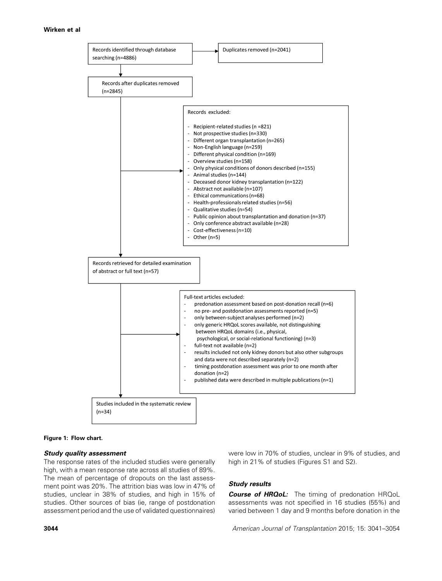

#### Figure 1: Flow chart.

#### Study quality assessment

The response rates of the included studies were generally high, with a mean response rate across all studies of 89%. The mean of percentage of dropouts on the last assessment point was 20%. The attrition bias was low in 47% of studies, unclear in 38% of studies, and high in 15% of studies. Other sources of bias (ie, range of postdonation assessment period and the use of validated questionnaires) were low in 70% of studies, unclear in 9% of studies, and high in 21% of studies (Figures S1 and S2).

#### Study results

Course of HRQoL: The timing of predonation HRQoL assessments was not specified in 16 studies (55%) and varied between 1 day and 9 months before donation in the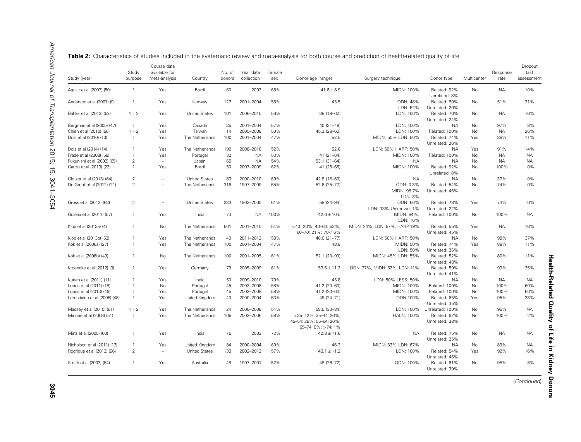| Study (year)                | Study<br>purpose | Course data<br>available for<br>meta-analysis | Country              | No. of<br>donors | Year data<br>collection | Female<br>sex | Donor age (range)                                                      | Surgery technique                   | Donor type                     | Multicenter    | Response<br>rate | Dropout<br>last<br>assessment |
|-----------------------------|------------------|-----------------------------------------------|----------------------|------------------|-------------------------|---------------|------------------------------------------------------------------------|-------------------------------------|--------------------------------|----------------|------------------|-------------------------------|
| Aquiar et al (2007) (50)    | $\overline{1}$   | Yes                                           | Brazil               | 60               | 2003                    | 68%           | $41.6 \pm 8.9$                                                         | MIDN: 100%                          | Related: 92%<br>Unrelated: 8%  | <b>No</b>      | <b>NA</b>        | 10%                           |
| Andersen et al (2007) (9)   | $\mathbf{1}$     | Yes                                           | Norway               | 122              | 2001-2004               | 55%           | 45.5                                                                   | ODN: 48%<br>LDN: 52%                | Related: 80%<br>Unrelated: 20% | <b>No</b>      | 51%              | 21%                           |
| Bahler et al (2013) (52)    | $1 + 2$          | Yes                                           | <b>United States</b> | 101              | 2006-2010               | 56%           | 38 (19-62)                                                             | LDN: 100%                           | Related: 76%<br>Unrelated: 24% | No             | <b>NA</b>        | 76%                           |
| Bergman et al (2005) (47)   | $\overline{1}$   | Yes                                           | Canada               | 35               | 2001-2004               | 57%           | 40 (31-49)                                                             | LDN: 100%                           | <b>NA</b>                      | <b>No</b>      | 97%              | 8%                            |
| Chien et al (2010) (56)     | $1 + 2$          | Yes                                           | Taiwan               | 14               | 2005-2008               | 50%           | 45.3 (28-62)                                                           | LDN: 100%                           | Related: 100%                  | <b>No</b>      | <b>NA</b>        | 26%                           |
| Dols et al (2010) (10)      | $\overline{1}$   | Yes                                           | The Netherlands      | 100              | 2001-2004               | 47%           | 52.5                                                                   | MIDN: 50% LDN: 50%                  | Related: 74%<br>Unrelated: 26% | Yes            | 88%              | 11%                           |
| Dols et al (2014) (14)      | 1                | Yes                                           | The Netherlands      | 190              | 2008-2010               | 52%           | 52.6                                                                   | LDN: 50% HARP: 50%                  | <b>NA</b>                      | Yes            | 91%              | 14%                           |
| Frade et al (2008) (59)     | $\mathbf{1}$     | Yes                                           | Portugal             | 32               | <b>NA</b>               | 53%           | $41(21-64)$                                                            | MIDN: 100%                          | Related: 100%                  | No             | <b>NA</b>        | <b>NA</b>                     |
| Fukunishi et al (2002) (65) | $\overline{2}$   | $\overline{\phantom{a}}$                      | Japan                | 65               | <b>NA</b>               | 54%           | 53.1 (31-64)                                                           | <b>NA</b>                           | <b>NA</b>                      | No             | <b>NA</b>        | <b>NA</b>                     |
| Garcia et al (2013) (23)    | $\mathbf{1}$     | Yes                                           | Brazil               | 50               | 2007-2009               | 62%           | 41 (25-68)                                                             | MIDN: 100%                          | Related: 92%<br>Unrelated: 8%  | N <sub>o</sub> | 100%             | 0%                            |
| Glotzer et al (2013) (64)   | $\overline{c}$   | $\equiv$                                      | <b>United States</b> | 83               | 2000-2010               | 69%           | 42.8 (18-60)                                                           | <b>NA</b>                           | <b>NA</b>                      | No             | 37%              | 0%                            |
| De Groot et al (2012) (21)  | $\overline{2}$   | ÷                                             | The Netherlands      | 316              | 1997-2009               | 65%           | 52.6 (25-77)                                                           | ODN: 0.3%<br>MIDN: 96.7%<br>LDN: 3% | Related: 54%<br>Unrelated: 46% | <b>No</b>      | 74%              | 0%                            |
| Gross et al (2013) (63)     | 2                | $\equiv$                                      | <b>United States</b> | 233              | 1963-2005               | 61%           | 58 (24-94)                                                             | ODN: 66%<br>LDN: 33% Unknown: 1%    | Related: 78%<br>Unrelated: 22% | Yes            | 73%              | 0%                            |
| Guleria et al (2011) (57)   | $\mathbf{1}$     | Yes                                           | India                | 73               | <b>NA</b>               | 100%          | $42.6 \pm 10.5$                                                        | MIDN: 84%.<br>LDN: 16%              | Related: 100%                  | No             | 100%             | <b>NA</b>                     |
| Klop et al (2013a) (4)      | $\mathbf{1}$     | <b>No</b>                                     | The Netherlands      | 501              | 2001-2010               | 54%           | <40: 20%; 40-60: 53%;<br>60-70: 21%; 70< 6%                            | MIDN: 24%, LDN: 57%, HARP:19%       | Related: 55%<br>Unrelated: 45% | Yes            | <b>NA</b>        | 16%                           |
| Klop et al (2013b) (53)     | $\mathbf{1}$     | Yes                                           | The Netherlands      | 40               | 2011-2012               | 58%           | 48.0 (21-77)                                                           | LDN: 50% HARP: 50%                  | <b>NA</b>                      | No             | 98%              | 37%                           |
| Kok et al (2006a) (27)      | $\mathbf{1}$     | Yes                                           | The Netherlands      | 100              | 2001-2004               | 47%           | 48.8                                                                   | MIDN: 50%<br>LDN: 50%               | Related: 74%<br>Unrelated: 26% | Yes            | 88%              | 11%                           |
| Kok et al (2006b) (49)      | $\mathbf{1}$     | <b>No</b>                                     | The Netherlands      | 100              | 2001-2005               | 61%           | 52.1 (20-90)                                                           | MIDN: 45% LDN: 55%                  | Related: 52%<br>Unrelated: 48% | <b>No</b>      | 80%              | 11%                           |
| Kroencke et al (2012) (3)   | $\overline{1}$   | Yes                                           | Germany              | 79               | 2005-2009               | 61%           | $53.6 \pm 11.3$                                                        | ODN: 37%, MIDN: 52%, LDN: 11%       | Related: 59%<br>Unrelated: 41% | No.            | 93%              | 25%                           |
| Kurien et al (2011) (11)    | $\mathbf{1}$     | Yes                                           | India                | 50               | 2009-2010               | 70%           | 45.8                                                                   | LDN: 50% LESS: 50%                  | <b>NA</b>                      | <b>No</b>      | <b>NA</b>        | <b>NA</b>                     |
| Lopes et al (2011) (18)     | $\mathbf{1}$     | <b>No</b>                                     | Portugal             | 45               | 2002-2008               | 58%           | 41.2 (20-60)                                                           | MIDN: 100%                          | Related: 100%                  | <b>No</b>      | 100%             | 60%                           |
| Lopes et al (2013) (46)     | $\overline{1}$   | Yes                                           | Portugal             | 45               | 2002-2008               | 58%           | 41.2 (20-60)                                                           | MIDN: 100%                          | Related: 100%                  | <b>No</b>      | 100%             | 60%                           |
| Lumsdaine et al (2005) (48) | $\mathbf{1}$     | Yes                                           | United Kingdom       | 40               | 2000-2004               | 63%           | 49 (24-71)                                                             | ODN:100%                            | Related: 65%<br>Unrelated: 35% | Yes            | 95%              | 23%                           |
| Massey et al (2010) (61)    | $1 + 2$          | Yes                                           | The Netherlands      | 24               | 2000-2008               | 54%           | 58.5 (33-84)                                                           | LDN: 100%                           | Unrelated: 100%                | <b>No</b>      | 96%              | <b>NA</b>                     |
| Minnee et al (2008) (51)    | $\overline{1}$   | Yes                                           | The Netherlands      | 105              | 2002-2006               | 58%           | <35: 12%; 35-44: 26%;<br>45-54: 29%; 55-64: 26%;<br>65-74: 6%; >74: 1% | HALN: 100%                          | Related: 62%<br>Unrelated: 38% | No             | 100%             | 2%                            |
| Minz et al (2005) (60)      | $\overline{1}$   | Yes                                           | India                | 75               | 2003                    | 72%           | $42.8 \pm 11.6$                                                        | <b>NA</b>                           | Related: 75%<br>Unrelated: 25% | No             | <b>NA</b>        | <b>NA</b>                     |
| Nicholson et al (2011) (12) | $\overline{1}$   | Yes                                           | United Kingdom       | 84               | 2000-2004               | 60%           | 46.3                                                                   | MIDN: 33% LDN: 67%                  | <b>NA</b>                      | No             | 89%              | <b>NA</b>                     |
| Rodrigue et al (2013) (66)  | $\overline{2}$   | $\equiv$                                      | <b>United States</b> | 133              | 2002-2012               | 57%           | $43.1 \pm 11.2$                                                        | LDN: 100%                           | Related: 54%<br>Unrelated: 46% | Yes            | 92%              | 16%                           |
| Smith et al (2003) (54)     | $\overline{1}$   | Yes                                           | Australia            | 48               | 1997-2001               | 52%           | 48 (26-72)                                                             | ODN: 100%                           | Related: 61%<br>Unrelated: 39% | <b>No</b>      | 98%              | 8%                            |

**Table 2:** Characteristics of studies included in the systematic review and meta-analysis for both course and prediction of health-related quality of life

(*Continued*)

Health-Related Quality of Life in Kidney Donors

**Health-Related Quality of Life in Kidney Donors** 

3045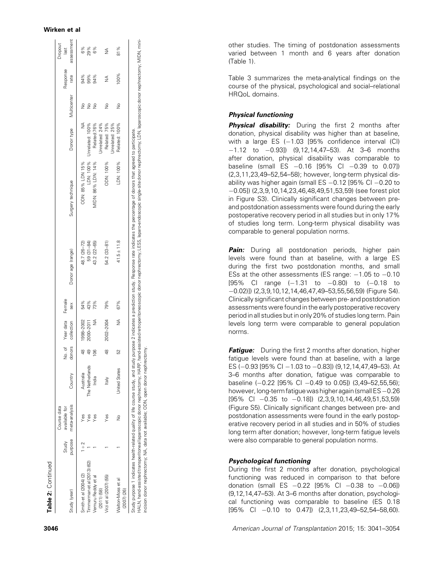|                                  | Study   | Course data<br>available for |                      |                | No. of Year data Female |     |                   |                    |                           |               | Response | Dropout<br>last |
|----------------------------------|---------|------------------------------|----------------------|----------------|-------------------------|-----|-------------------|--------------------|---------------------------|---------------|----------|-----------------|
| Study (year)                     | purpose | meta-analysis                | Country              | donors         | collection              | sex | Donor age (range) | Surgery technique  | Donor type                | Multicenter   | rate     | assessment      |
| Smith et al (2004) (2)           | $1 + 2$ | Ýes                          | Australia            | $\frac{8}{4}$  | 1998-2002               | 54% | 48.7 (26-72)      | ODN: 85% LDN 15%   | ≸                         | $\frac{1}{2}$ | 94%      | 6%              |
| $i$ mmerman et al (2013) (62)    |         | Yes                          | The Netherlands      | 49             | 2000-2011               | 43% | 59 (31-84)        |                    | LDN: 100% Unrelated: 100% | $\frac{1}{2}$ | 99%      | 29%             |
| Vemuru Reddy et al               |         | Yes                          | India                | $\frac{66}{5}$ |                         | 73% | 43.2 (22-65)      | MIDN: 86% LDN: 14% | Related:76%               | $\frac{1}{2}$ | 94%      | 6%              |
| $(2011)$ $(58)$                  |         |                              |                      |                |                         |     |                   |                    | Jnrelated: 24%            |               |          |                 |
| Virzi et al (2007) (55)          |         | Yes                          | ltalv                | $\frac{8}{4}$  | 2002-2004               | 79% | 54.2 (33-81)      | ODN: 100%          | Related: 75%              | $\frac{1}{2}$ | ≸        | ≸               |
|                                  |         |                              |                      |                |                         |     |                   |                    | Jnrelated: 25%            |               |          |                 |
| Walton-Moss et al<br>(2007) (26) |         | $\frac{1}{2}$                | <b>Jnited States</b> | 52             | ≸                       | 67% | $41.5 \pm 11.8$   | LDN: 100%          | Related: 100%             | $\frac{1}{2}$ | 100%     | 81%             |

incision donor nephrectomy; NA, data not available; ODN, open donor nephrectomy.

incision donor nephrectomy; NA, data not available; ODN, open donor nephrectomy

other studies. The timing of postdonation assessments varied between 1 month and 6 years after donation (Table 1).

Table 3 summarizes the meta-analytical findings on the course of the physical, psychological and social–relational HRQoL domains.

#### Physical functioning

**Physical disability:** During the first 2 months after donation, physical disability was higher than at baseline, with a large ES ( 1.03 [95% confidence interval (CI)  $-1.12$  to  $-0.93$ ])  $(9,12,14,47-53)$ . At 3-6 months after donation, physical disability was comparable to baseline (small ES 0.16 [95% CI 0.39 to 0.07]) (2,3,11,23,49–52,54–58); however, long-term physical disability was higher again (small ES  $-0.12$  [95% CI  $-0.20$  to 0.05]) (2,3,9,10,14,23,46,48,49,51,53,59) (see forest plot in Figure S3). Clinically significant changes between preand postdonation assessments were found during the early postoperative recovery period in all studies but in only 17% of studies long term. Long-term physical disability was comparable to general population norms.

**Pain:** During all postdonation periods, higher pain levels were found than at baseline, with a large ES during the first two postdonation months, and small ESs at the other assessments (ES range:  $-1.05$  to  $-0.10$ [95% CI range ( 1.31 to 0.80) to ( 0.18 to 0.02)]) (2,3,9,10,12,14,46,47,49–53,55,56,59) (Figure S4). Clinically significant changes between pre- and postdonation assessments were found in the early postoperative recovery period in all studies but in only 20% of studies long term. Pain levels long term were comparable to general population norms.

**Fatigue:** During the first 2 months after donation, higher fatigue levels were found than at baseline, with a large ES ( 0.93 [95% CI 1.03 to 0.83]) (9,12,14,47,49–53). At 3–6 months after donation, fatigue was comparable to baseline ( 0.22 [95% CI 0.49 to 0.05]) (3,49–52,55,56); however, long-term fatiguewas higher again(small ES 0.26  $[95\% \text{ Cl } -0.35 \text{ to } -0.18]$   $(2,3,9,10,14,46,49,51,53,59)$ (Figure S5). Clinically significant changes between pre- and postdonation assessments were found in the early postoperative recovery period in all studies and in 50% of studies long term after donation; however, long-term fatigue levels were also comparable to general population norms.

#### Psychological functioning

During the first 2 months after donation, psychological functioning was reduced in comparison to that before donation (small ES  $-0.22$  [95% CI  $-0.38$  to  $-0.06$ ]) (9,12,14,47–53). At 3–6 months after donation, psychological functioning was comparable to baseline (ES 0.18 [95% CI 0.10 to 0.47]) (2,3,11,23,49–52,54–58,60).

3046 *American Journal of Transplantation* 2015; 15: 3041–3054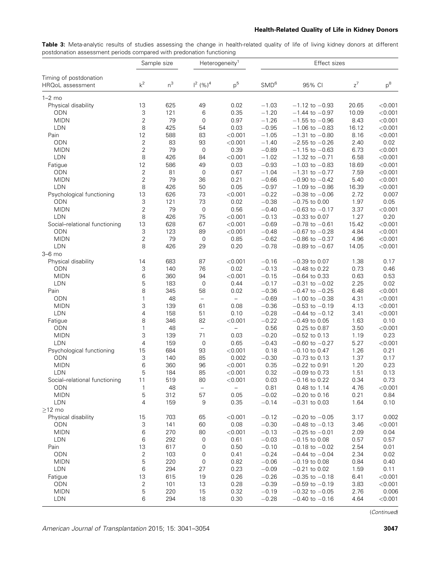#### Health-Related Quality of Life in Kidney Donors

Table 3: Meta-analytic results of studies assessing the change in health-related quality of life of living kidney donors at different postdonation assessment periods compared with predonation functioning

| Timing of postdonation<br>$k^2$<br>$n^3$<br>p <sup>5</sup><br>$z^7$<br>$p^8$<br>$1^2$ (%) <sup>4</sup><br>SMD <sup>6</sup><br>95% CI<br>HRQoL assessment<br>$1-2$ mo<br>13<br>625<br>49<br>0.02<br>$-1.03$<br>20.65<br>< 0.001<br>Physical disability<br>$-1.12$ to $-0.93$<br>3<br>121<br>6<br>0.35<br>$-1.20$<br>10.09<br><b>ODN</b><br>$-1.44$ to $-0.97$<br>< 0.001<br>$\overline{2}$<br>79<br>$\mathbf 0$<br>$-1.26$<br><b>MIDN</b><br>0.97<br>8.43<br>$-1.55$ to $-0.96$<br>< 0.001<br>8<br>LDN<br>425<br>0.03<br>$-0.95$<br>54<br>$-1.06$ to $-0.83$<br>16.12<br>< 0.001<br>12<br>588<br>$-1.05$<br>Pain<br>83<br>< 0.001<br>$-1.31$ to $-0.80$<br>8.16<br>< 0.001<br>$\overline{2}$<br><b>ODN</b><br>83<br>93<br>$-1.40$<br>2.40<br>0.02<br>< 0.001<br>$-2.55$ to $-0.26$<br>$\overline{2}$<br>79<br><b>MIDN</b><br>$\mathsf{O}\xspace$<br>0.39<br>$-0.89$<br>6.73<br>< 0.001<br>$-1.15$ to $-0.63$<br>8<br><b>LDN</b><br>426<br>$-1.02$<br>6.58<br>84<br>< 0.001<br>$-1.32$ to $-0.71$<br>< 0.001<br>12<br>$-0.93$<br>586<br>49<br>18.69<br>Fatigue<br>0.03<br>$-1.03$ to $-0.83$<br>< 0.001<br>$\overline{c}$<br><b>ODN</b><br>81<br>$\mathsf{O}\xspace$<br>0.67<br>$-1.04$<br>$-1.31$ to $-0.77$<br>7.59<br>< 0.001<br>$\overline{c}$<br>79<br>36<br>0.21<br>$-0.66$<br><b>MIDN</b><br>$-0.90$ to $-0.42$<br>5.40<br>< 0.001<br>8<br><b>LDN</b><br>426<br>50<br>0.05<br>$-0.97$<br>16.39<br>< 0.001<br>$-1.09$ to $-0.86$<br>13<br>626<br>73<br>$-0.22$<br>2.72<br>0.007<br>Psychological functioning<br>< 0.001<br>$-0.38$ to $-0.06$<br>3<br>121<br>73<br>$-0.38$<br>1.97<br><b>ODN</b><br>0.02<br>$-0.75$ to 0.00<br>0.05<br>$\sqrt{2}$<br>79<br><b>MIDN</b><br>$\mathsf{O}\xspace$<br>$-0.40$<br>3.37<br>0.56<br>$-0.63$ to $-0.17$<br>< 0.001<br><b>LDN</b><br>8<br>426<br>75<br>$-0.13$<br>0.20<br>< 0.001<br>$-0.33$ to 0.07<br>1.27<br>13<br>628<br>67<br>$-0.69$<br>15.42<br>Social-relational functioning<br>< 0.001<br>$-0.78$ to $-0.61$<br>< 0.001<br>3<br><b>ODN</b><br>123<br>89<br>$-0.48$<br>4.84<br>< 0.001<br>< 0.001<br>$-0.67$ to $-0.28$<br>$\overline{2}$<br>79<br><b>MIDN</b><br>$\mathsf{O}\xspace$<br>0.85<br>$-0.62$<br>4.96<br>$-0.86$ to $-0.37$<br>< 0.001<br>8<br>LDN<br>426<br>29<br>$-0.78$<br>0.20<br>$-0.89$ to $-0.67$<br>14.05<br>< 0.001<br>$3-6$ mo<br>683<br>87<br>Physical disability<br>14<br>< 0.001<br>$-0.16$<br>$-0.39$ to 0.07<br>1.38<br>0.17<br>3<br>140<br>76<br>$-0.13$<br>0.73<br><b>ODN</b><br>0.02<br>$-0.48$ to 0.22<br>0.46<br>6<br><b>MIDN</b><br>360<br>94<br>$-0.15$<br>0.63<br>< 0.001<br>$-0.64$ to 0.33<br>0.53<br>LDN<br>5<br>183<br>$\mathsf{O}\xspace$<br>$-0.17$<br>2.25<br>0.02<br>0.44<br>$-0.31$ to $-0.02$<br>8<br>345<br>58<br>$-0.36$<br>6.48<br>Pain<br>0.02<br>$-0.47$ to $-0.25$<br>< 0.001<br><b>ODN</b><br>$\mathbf{1}$<br>48<br>$-0.69$<br>4.31<br>< 0.001<br>$-1.00$ to $-0.38$<br>$\qquad \qquad -$<br>$\overline{\phantom{0}}$<br>3<br><b>MIDN</b><br>139<br>61<br>0.08<br>$-0.36$<br>$-0.53$ to $-0.19$<br>4.13<br>< 0.001<br>4<br>158<br>51<br>$-0.28$<br><b>LDN</b><br>0.10<br>3.41<br>< 0.001<br>$-0.44$ to $-0.12$<br>8<br>$-0.22$<br>346<br>82<br>1.63<br>0.10<br>Fatigue<br>< 0.001<br>$-0.49$ to 0.05<br>0.56<br><b>ODN</b><br>$\mathbf{1}$<br>48<br>$\overline{\phantom{0}}$<br>3.50<br>0.25 to 0.87<br>< 0.001<br>$\overline{\phantom{0}}$<br>3<br>139<br>71<br><b>MIDN</b><br>0.03<br>$-0.20$<br>$-0.52$ to 0.13<br>1.19<br>0.23<br>$\overline{4}$<br>LDN<br>159<br>$\boldsymbol{0}$<br>$-0.43$<br>5.27<br>0.65<br>< 0.001<br>$-0.60$ to $-0.27$<br>15<br>684<br>93<br>0.18<br>Psychological functioning<br>< 0.001<br>$-0.10$ to 0.47<br>1.26<br>0.21<br>3<br>85<br>1.37<br><b>ODN</b><br>140<br>0.002<br>$-0.30$<br>0.17<br>$-0.73$ to 0.13<br>6<br><b>MIDN</b><br>360<br>96<br>0.35<br>1.20<br>0.23<br>< 0.001<br>$-0.22$ to 0.91<br>LDN<br>5<br>184<br>85<br>0.32<br>1.51<br>0.13<br>< 0.001<br>$-0.09$ to 0.73<br>11<br>519<br>80<br>0.03<br>Social-relational functioning<br>< 0.001<br>$-0.16$ to 0.22<br>0.34<br>0.73<br>ODN<br>$\mathbf{1}$<br>48<br>0.81<br>4.76<br>0.48 to 1.14<br>< 0.001<br>$\overline{\phantom{0}}$<br>$\overline{\phantom{0}}$<br>$-0.02$<br>0.05<br>0.21<br><b>MIDN</b><br>5<br>312<br>57<br>$-0.20$ to 0.16<br>0.84<br>LDN<br>4<br>159<br>9<br>0.35<br>$-0.14$<br>$-0.31$ to 0.03<br>1.64<br>0.10<br>$\geq$ 12 mo<br>Physical disability<br>703<br>65<br>< 0.001<br>$-0.12$<br>$-0.20$ to $-0.05$<br>3.17<br>0.002<br>15<br>3<br>ODN<br>141<br>60<br>0.08<br>$-0.30$<br>$-0.48$ to $-0.13$<br>3.46<br>< 0.001<br><b>MIDN</b><br>6<br>270<br>$-0.13$<br>0.04<br>80<br>< 0.001<br>$-0.25$ to $-0.01$<br>2.09<br>LDN<br>6<br>0.61<br>$-0.03$<br>0.57<br>292<br>0<br>$-0.15$ to 0.08<br>0.57<br>Pain<br>13<br>617<br>0<br>0.50<br>$-0.10$<br>2.54<br>0.01<br>$-0.18$ to $-0.02$<br>$\overline{c}$<br>$-0.24$<br>ODN<br>103<br>0<br>0.41<br>2.34<br>0.02<br>$-0.44$ to $-0.04$<br><b>MIDN</b><br>5<br>$\pmb{0}$<br>220<br>0.82<br>$-0.06$<br>$-0.19$ to 0.08<br>0.84<br>0.40<br><b>LDN</b><br>6<br>294<br>27<br>0.23<br>$-0.09$<br>$-0.21$ to 0.02<br>1.59<br>0.11<br>Fatigue<br>13<br>615<br>19<br>0.26<br>$-0.26$<br>< 0.001<br>$-0.35$ to $-0.18$<br>6.41<br>ODN<br>2<br>101<br>13<br>0.28<br>$-0.39$<br>$-0.59$ to $-0.19$<br>3.83<br>< 0.001<br><b>MIDN</b><br>$-0.32$ to $-0.05$ |   | Sample size |    | Heterogeneity <sup>1</sup> | Effect sizes |  |      |       |
|---------------------------------------------------------------------------------------------------------------------------------------------------------------------------------------------------------------------------------------------------------------------------------------------------------------------------------------------------------------------------------------------------------------------------------------------------------------------------------------------------------------------------------------------------------------------------------------------------------------------------------------------------------------------------------------------------------------------------------------------------------------------------------------------------------------------------------------------------------------------------------------------------------------------------------------------------------------------------------------------------------------------------------------------------------------------------------------------------------------------------------------------------------------------------------------------------------------------------------------------------------------------------------------------------------------------------------------------------------------------------------------------------------------------------------------------------------------------------------------------------------------------------------------------------------------------------------------------------------------------------------------------------------------------------------------------------------------------------------------------------------------------------------------------------------------------------------------------------------------------------------------------------------------------------------------------------------------------------------------------------------------------------------------------------------------------------------------------------------------------------------------------------------------------------------------------------------------------------------------------------------------------------------------------------------------------------------------------------------------------------------------------------------------------------------------------------------------------------------------------------------------------------------------------------------------------------------------------------------------------------------------------------------------------------------------------------------------------------------------------------------------------------------------------------------------------------------------------------------------------------------------------------------------------------------------------------------------------------------------------------------------------------------------------------------------------------------------------------------------------------------------------------------------------------------------------------------------------------------------------------------------------------------------------------------------------------------------------------------------------------------------------------------------------------------------------------------------------------------------------------------------------------------------------------------------------------------------------------------------------------------------------------------------------------------------------------------------------------------------------------------------------------------------------------------------------------------------------------------------------------------------------------------------------------------------------------------------------------------------------------------------------------------------------------------------------------------------------------------------------------------------------------------------------------------------------------------------------------------------------------------------------------------------------------------------------------------------------------------------------------------------------------------------------------------------------------------------------------------------------------------------------------------------------------------------------------------------------------------------------------------------------------------------------------------------------------------------------------------------------------------------------------------------------------------------------------------------------------------------------------------------------------------------------------------------------------------------------------------------------------------------------------------------------------------------------------------------------------------------------------------------------------------------------------------------------------------------------------------------------------------------------------------------------------------------------------|---|-------------|----|----------------------------|--------------|--|------|-------|
|                                                                                                                                                                                                                                                                                                                                                                                                                                                                                                                                                                                                                                                                                                                                                                                                                                                                                                                                                                                                                                                                                                                                                                                                                                                                                                                                                                                                                                                                                                                                                                                                                                                                                                                                                                                                                                                                                                                                                                                                                                                                                                                                                                                                                                                                                                                                                                                                                                                                                                                                                                                                                                                                                                                                                                                                                                                                                                                                                                                                                                                                                                                                                                                                                                                                                                                                                                                                                                                                                                                                                                                                                                                                                                                                                                                                                                                                                                                                                                                                                                                                                                                                                                                                                                                                                                                                                                                                                                                                                                                                                                                                                                                                                                                                                                                                                                                                                                                                                                                                                                                                                                                                                                                                                                                                                                                           |   |             |    |                            |              |  |      |       |
|                                                                                                                                                                                                                                                                                                                                                                                                                                                                                                                                                                                                                                                                                                                                                                                                                                                                                                                                                                                                                                                                                                                                                                                                                                                                                                                                                                                                                                                                                                                                                                                                                                                                                                                                                                                                                                                                                                                                                                                                                                                                                                                                                                                                                                                                                                                                                                                                                                                                                                                                                                                                                                                                                                                                                                                                                                                                                                                                                                                                                                                                                                                                                                                                                                                                                                                                                                                                                                                                                                                                                                                                                                                                                                                                                                                                                                                                                                                                                                                                                                                                                                                                                                                                                                                                                                                                                                                                                                                                                                                                                                                                                                                                                                                                                                                                                                                                                                                                                                                                                                                                                                                                                                                                                                                                                                                           |   |             |    |                            |              |  |      |       |
|                                                                                                                                                                                                                                                                                                                                                                                                                                                                                                                                                                                                                                                                                                                                                                                                                                                                                                                                                                                                                                                                                                                                                                                                                                                                                                                                                                                                                                                                                                                                                                                                                                                                                                                                                                                                                                                                                                                                                                                                                                                                                                                                                                                                                                                                                                                                                                                                                                                                                                                                                                                                                                                                                                                                                                                                                                                                                                                                                                                                                                                                                                                                                                                                                                                                                                                                                                                                                                                                                                                                                                                                                                                                                                                                                                                                                                                                                                                                                                                                                                                                                                                                                                                                                                                                                                                                                                                                                                                                                                                                                                                                                                                                                                                                                                                                                                                                                                                                                                                                                                                                                                                                                                                                                                                                                                                           |   |             |    |                            |              |  |      |       |
|                                                                                                                                                                                                                                                                                                                                                                                                                                                                                                                                                                                                                                                                                                                                                                                                                                                                                                                                                                                                                                                                                                                                                                                                                                                                                                                                                                                                                                                                                                                                                                                                                                                                                                                                                                                                                                                                                                                                                                                                                                                                                                                                                                                                                                                                                                                                                                                                                                                                                                                                                                                                                                                                                                                                                                                                                                                                                                                                                                                                                                                                                                                                                                                                                                                                                                                                                                                                                                                                                                                                                                                                                                                                                                                                                                                                                                                                                                                                                                                                                                                                                                                                                                                                                                                                                                                                                                                                                                                                                                                                                                                                                                                                                                                                                                                                                                                                                                                                                                                                                                                                                                                                                                                                                                                                                                                           |   |             |    |                            |              |  |      |       |
|                                                                                                                                                                                                                                                                                                                                                                                                                                                                                                                                                                                                                                                                                                                                                                                                                                                                                                                                                                                                                                                                                                                                                                                                                                                                                                                                                                                                                                                                                                                                                                                                                                                                                                                                                                                                                                                                                                                                                                                                                                                                                                                                                                                                                                                                                                                                                                                                                                                                                                                                                                                                                                                                                                                                                                                                                                                                                                                                                                                                                                                                                                                                                                                                                                                                                                                                                                                                                                                                                                                                                                                                                                                                                                                                                                                                                                                                                                                                                                                                                                                                                                                                                                                                                                                                                                                                                                                                                                                                                                                                                                                                                                                                                                                                                                                                                                                                                                                                                                                                                                                                                                                                                                                                                                                                                                                           |   |             |    |                            |              |  |      |       |
|                                                                                                                                                                                                                                                                                                                                                                                                                                                                                                                                                                                                                                                                                                                                                                                                                                                                                                                                                                                                                                                                                                                                                                                                                                                                                                                                                                                                                                                                                                                                                                                                                                                                                                                                                                                                                                                                                                                                                                                                                                                                                                                                                                                                                                                                                                                                                                                                                                                                                                                                                                                                                                                                                                                                                                                                                                                                                                                                                                                                                                                                                                                                                                                                                                                                                                                                                                                                                                                                                                                                                                                                                                                                                                                                                                                                                                                                                                                                                                                                                                                                                                                                                                                                                                                                                                                                                                                                                                                                                                                                                                                                                                                                                                                                                                                                                                                                                                                                                                                                                                                                                                                                                                                                                                                                                                                           |   |             |    |                            |              |  |      |       |
|                                                                                                                                                                                                                                                                                                                                                                                                                                                                                                                                                                                                                                                                                                                                                                                                                                                                                                                                                                                                                                                                                                                                                                                                                                                                                                                                                                                                                                                                                                                                                                                                                                                                                                                                                                                                                                                                                                                                                                                                                                                                                                                                                                                                                                                                                                                                                                                                                                                                                                                                                                                                                                                                                                                                                                                                                                                                                                                                                                                                                                                                                                                                                                                                                                                                                                                                                                                                                                                                                                                                                                                                                                                                                                                                                                                                                                                                                                                                                                                                                                                                                                                                                                                                                                                                                                                                                                                                                                                                                                                                                                                                                                                                                                                                                                                                                                                                                                                                                                                                                                                                                                                                                                                                                                                                                                                           |   |             |    |                            |              |  |      |       |
|                                                                                                                                                                                                                                                                                                                                                                                                                                                                                                                                                                                                                                                                                                                                                                                                                                                                                                                                                                                                                                                                                                                                                                                                                                                                                                                                                                                                                                                                                                                                                                                                                                                                                                                                                                                                                                                                                                                                                                                                                                                                                                                                                                                                                                                                                                                                                                                                                                                                                                                                                                                                                                                                                                                                                                                                                                                                                                                                                                                                                                                                                                                                                                                                                                                                                                                                                                                                                                                                                                                                                                                                                                                                                                                                                                                                                                                                                                                                                                                                                                                                                                                                                                                                                                                                                                                                                                                                                                                                                                                                                                                                                                                                                                                                                                                                                                                                                                                                                                                                                                                                                                                                                                                                                                                                                                                           |   |             |    |                            |              |  |      |       |
|                                                                                                                                                                                                                                                                                                                                                                                                                                                                                                                                                                                                                                                                                                                                                                                                                                                                                                                                                                                                                                                                                                                                                                                                                                                                                                                                                                                                                                                                                                                                                                                                                                                                                                                                                                                                                                                                                                                                                                                                                                                                                                                                                                                                                                                                                                                                                                                                                                                                                                                                                                                                                                                                                                                                                                                                                                                                                                                                                                                                                                                                                                                                                                                                                                                                                                                                                                                                                                                                                                                                                                                                                                                                                                                                                                                                                                                                                                                                                                                                                                                                                                                                                                                                                                                                                                                                                                                                                                                                                                                                                                                                                                                                                                                                                                                                                                                                                                                                                                                                                                                                                                                                                                                                                                                                                                                           |   |             |    |                            |              |  |      |       |
|                                                                                                                                                                                                                                                                                                                                                                                                                                                                                                                                                                                                                                                                                                                                                                                                                                                                                                                                                                                                                                                                                                                                                                                                                                                                                                                                                                                                                                                                                                                                                                                                                                                                                                                                                                                                                                                                                                                                                                                                                                                                                                                                                                                                                                                                                                                                                                                                                                                                                                                                                                                                                                                                                                                                                                                                                                                                                                                                                                                                                                                                                                                                                                                                                                                                                                                                                                                                                                                                                                                                                                                                                                                                                                                                                                                                                                                                                                                                                                                                                                                                                                                                                                                                                                                                                                                                                                                                                                                                                                                                                                                                                                                                                                                                                                                                                                                                                                                                                                                                                                                                                                                                                                                                                                                                                                                           |   |             |    |                            |              |  |      |       |
|                                                                                                                                                                                                                                                                                                                                                                                                                                                                                                                                                                                                                                                                                                                                                                                                                                                                                                                                                                                                                                                                                                                                                                                                                                                                                                                                                                                                                                                                                                                                                                                                                                                                                                                                                                                                                                                                                                                                                                                                                                                                                                                                                                                                                                                                                                                                                                                                                                                                                                                                                                                                                                                                                                                                                                                                                                                                                                                                                                                                                                                                                                                                                                                                                                                                                                                                                                                                                                                                                                                                                                                                                                                                                                                                                                                                                                                                                                                                                                                                                                                                                                                                                                                                                                                                                                                                                                                                                                                                                                                                                                                                                                                                                                                                                                                                                                                                                                                                                                                                                                                                                                                                                                                                                                                                                                                           |   |             |    |                            |              |  |      |       |
|                                                                                                                                                                                                                                                                                                                                                                                                                                                                                                                                                                                                                                                                                                                                                                                                                                                                                                                                                                                                                                                                                                                                                                                                                                                                                                                                                                                                                                                                                                                                                                                                                                                                                                                                                                                                                                                                                                                                                                                                                                                                                                                                                                                                                                                                                                                                                                                                                                                                                                                                                                                                                                                                                                                                                                                                                                                                                                                                                                                                                                                                                                                                                                                                                                                                                                                                                                                                                                                                                                                                                                                                                                                                                                                                                                                                                                                                                                                                                                                                                                                                                                                                                                                                                                                                                                                                                                                                                                                                                                                                                                                                                                                                                                                                                                                                                                                                                                                                                                                                                                                                                                                                                                                                                                                                                                                           |   |             |    |                            |              |  |      |       |
|                                                                                                                                                                                                                                                                                                                                                                                                                                                                                                                                                                                                                                                                                                                                                                                                                                                                                                                                                                                                                                                                                                                                                                                                                                                                                                                                                                                                                                                                                                                                                                                                                                                                                                                                                                                                                                                                                                                                                                                                                                                                                                                                                                                                                                                                                                                                                                                                                                                                                                                                                                                                                                                                                                                                                                                                                                                                                                                                                                                                                                                                                                                                                                                                                                                                                                                                                                                                                                                                                                                                                                                                                                                                                                                                                                                                                                                                                                                                                                                                                                                                                                                                                                                                                                                                                                                                                                                                                                                                                                                                                                                                                                                                                                                                                                                                                                                                                                                                                                                                                                                                                                                                                                                                                                                                                                                           |   |             |    |                            |              |  |      |       |
|                                                                                                                                                                                                                                                                                                                                                                                                                                                                                                                                                                                                                                                                                                                                                                                                                                                                                                                                                                                                                                                                                                                                                                                                                                                                                                                                                                                                                                                                                                                                                                                                                                                                                                                                                                                                                                                                                                                                                                                                                                                                                                                                                                                                                                                                                                                                                                                                                                                                                                                                                                                                                                                                                                                                                                                                                                                                                                                                                                                                                                                                                                                                                                                                                                                                                                                                                                                                                                                                                                                                                                                                                                                                                                                                                                                                                                                                                                                                                                                                                                                                                                                                                                                                                                                                                                                                                                                                                                                                                                                                                                                                                                                                                                                                                                                                                                                                                                                                                                                                                                                                                                                                                                                                                                                                                                                           |   |             |    |                            |              |  |      |       |
|                                                                                                                                                                                                                                                                                                                                                                                                                                                                                                                                                                                                                                                                                                                                                                                                                                                                                                                                                                                                                                                                                                                                                                                                                                                                                                                                                                                                                                                                                                                                                                                                                                                                                                                                                                                                                                                                                                                                                                                                                                                                                                                                                                                                                                                                                                                                                                                                                                                                                                                                                                                                                                                                                                                                                                                                                                                                                                                                                                                                                                                                                                                                                                                                                                                                                                                                                                                                                                                                                                                                                                                                                                                                                                                                                                                                                                                                                                                                                                                                                                                                                                                                                                                                                                                                                                                                                                                                                                                                                                                                                                                                                                                                                                                                                                                                                                                                                                                                                                                                                                                                                                                                                                                                                                                                                                                           |   |             |    |                            |              |  |      |       |
|                                                                                                                                                                                                                                                                                                                                                                                                                                                                                                                                                                                                                                                                                                                                                                                                                                                                                                                                                                                                                                                                                                                                                                                                                                                                                                                                                                                                                                                                                                                                                                                                                                                                                                                                                                                                                                                                                                                                                                                                                                                                                                                                                                                                                                                                                                                                                                                                                                                                                                                                                                                                                                                                                                                                                                                                                                                                                                                                                                                                                                                                                                                                                                                                                                                                                                                                                                                                                                                                                                                                                                                                                                                                                                                                                                                                                                                                                                                                                                                                                                                                                                                                                                                                                                                                                                                                                                                                                                                                                                                                                                                                                                                                                                                                                                                                                                                                                                                                                                                                                                                                                                                                                                                                                                                                                                                           |   |             |    |                            |              |  |      |       |
|                                                                                                                                                                                                                                                                                                                                                                                                                                                                                                                                                                                                                                                                                                                                                                                                                                                                                                                                                                                                                                                                                                                                                                                                                                                                                                                                                                                                                                                                                                                                                                                                                                                                                                                                                                                                                                                                                                                                                                                                                                                                                                                                                                                                                                                                                                                                                                                                                                                                                                                                                                                                                                                                                                                                                                                                                                                                                                                                                                                                                                                                                                                                                                                                                                                                                                                                                                                                                                                                                                                                                                                                                                                                                                                                                                                                                                                                                                                                                                                                                                                                                                                                                                                                                                                                                                                                                                                                                                                                                                                                                                                                                                                                                                                                                                                                                                                                                                                                                                                                                                                                                                                                                                                                                                                                                                                           |   |             |    |                            |              |  |      |       |
|                                                                                                                                                                                                                                                                                                                                                                                                                                                                                                                                                                                                                                                                                                                                                                                                                                                                                                                                                                                                                                                                                                                                                                                                                                                                                                                                                                                                                                                                                                                                                                                                                                                                                                                                                                                                                                                                                                                                                                                                                                                                                                                                                                                                                                                                                                                                                                                                                                                                                                                                                                                                                                                                                                                                                                                                                                                                                                                                                                                                                                                                                                                                                                                                                                                                                                                                                                                                                                                                                                                                                                                                                                                                                                                                                                                                                                                                                                                                                                                                                                                                                                                                                                                                                                                                                                                                                                                                                                                                                                                                                                                                                                                                                                                                                                                                                                                                                                                                                                                                                                                                                                                                                                                                                                                                                                                           |   |             |    |                            |              |  |      |       |
|                                                                                                                                                                                                                                                                                                                                                                                                                                                                                                                                                                                                                                                                                                                                                                                                                                                                                                                                                                                                                                                                                                                                                                                                                                                                                                                                                                                                                                                                                                                                                                                                                                                                                                                                                                                                                                                                                                                                                                                                                                                                                                                                                                                                                                                                                                                                                                                                                                                                                                                                                                                                                                                                                                                                                                                                                                                                                                                                                                                                                                                                                                                                                                                                                                                                                                                                                                                                                                                                                                                                                                                                                                                                                                                                                                                                                                                                                                                                                                                                                                                                                                                                                                                                                                                                                                                                                                                                                                                                                                                                                                                                                                                                                                                                                                                                                                                                                                                                                                                                                                                                                                                                                                                                                                                                                                                           |   |             |    |                            |              |  |      |       |
|                                                                                                                                                                                                                                                                                                                                                                                                                                                                                                                                                                                                                                                                                                                                                                                                                                                                                                                                                                                                                                                                                                                                                                                                                                                                                                                                                                                                                                                                                                                                                                                                                                                                                                                                                                                                                                                                                                                                                                                                                                                                                                                                                                                                                                                                                                                                                                                                                                                                                                                                                                                                                                                                                                                                                                                                                                                                                                                                                                                                                                                                                                                                                                                                                                                                                                                                                                                                                                                                                                                                                                                                                                                                                                                                                                                                                                                                                                                                                                                                                                                                                                                                                                                                                                                                                                                                                                                                                                                                                                                                                                                                                                                                                                                                                                                                                                                                                                                                                                                                                                                                                                                                                                                                                                                                                                                           |   |             |    |                            |              |  |      |       |
|                                                                                                                                                                                                                                                                                                                                                                                                                                                                                                                                                                                                                                                                                                                                                                                                                                                                                                                                                                                                                                                                                                                                                                                                                                                                                                                                                                                                                                                                                                                                                                                                                                                                                                                                                                                                                                                                                                                                                                                                                                                                                                                                                                                                                                                                                                                                                                                                                                                                                                                                                                                                                                                                                                                                                                                                                                                                                                                                                                                                                                                                                                                                                                                                                                                                                                                                                                                                                                                                                                                                                                                                                                                                                                                                                                                                                                                                                                                                                                                                                                                                                                                                                                                                                                                                                                                                                                                                                                                                                                                                                                                                                                                                                                                                                                                                                                                                                                                                                                                                                                                                                                                                                                                                                                                                                                                           |   |             |    |                            |              |  |      |       |
|                                                                                                                                                                                                                                                                                                                                                                                                                                                                                                                                                                                                                                                                                                                                                                                                                                                                                                                                                                                                                                                                                                                                                                                                                                                                                                                                                                                                                                                                                                                                                                                                                                                                                                                                                                                                                                                                                                                                                                                                                                                                                                                                                                                                                                                                                                                                                                                                                                                                                                                                                                                                                                                                                                                                                                                                                                                                                                                                                                                                                                                                                                                                                                                                                                                                                                                                                                                                                                                                                                                                                                                                                                                                                                                                                                                                                                                                                                                                                                                                                                                                                                                                                                                                                                                                                                                                                                                                                                                                                                                                                                                                                                                                                                                                                                                                                                                                                                                                                                                                                                                                                                                                                                                                                                                                                                                           |   |             |    |                            |              |  |      |       |
|                                                                                                                                                                                                                                                                                                                                                                                                                                                                                                                                                                                                                                                                                                                                                                                                                                                                                                                                                                                                                                                                                                                                                                                                                                                                                                                                                                                                                                                                                                                                                                                                                                                                                                                                                                                                                                                                                                                                                                                                                                                                                                                                                                                                                                                                                                                                                                                                                                                                                                                                                                                                                                                                                                                                                                                                                                                                                                                                                                                                                                                                                                                                                                                                                                                                                                                                                                                                                                                                                                                                                                                                                                                                                                                                                                                                                                                                                                                                                                                                                                                                                                                                                                                                                                                                                                                                                                                                                                                                                                                                                                                                                                                                                                                                                                                                                                                                                                                                                                                                                                                                                                                                                                                                                                                                                                                           |   |             |    |                            |              |  |      |       |
|                                                                                                                                                                                                                                                                                                                                                                                                                                                                                                                                                                                                                                                                                                                                                                                                                                                                                                                                                                                                                                                                                                                                                                                                                                                                                                                                                                                                                                                                                                                                                                                                                                                                                                                                                                                                                                                                                                                                                                                                                                                                                                                                                                                                                                                                                                                                                                                                                                                                                                                                                                                                                                                                                                                                                                                                                                                                                                                                                                                                                                                                                                                                                                                                                                                                                                                                                                                                                                                                                                                                                                                                                                                                                                                                                                                                                                                                                                                                                                                                                                                                                                                                                                                                                                                                                                                                                                                                                                                                                                                                                                                                                                                                                                                                                                                                                                                                                                                                                                                                                                                                                                                                                                                                                                                                                                                           |   |             |    |                            |              |  |      |       |
|                                                                                                                                                                                                                                                                                                                                                                                                                                                                                                                                                                                                                                                                                                                                                                                                                                                                                                                                                                                                                                                                                                                                                                                                                                                                                                                                                                                                                                                                                                                                                                                                                                                                                                                                                                                                                                                                                                                                                                                                                                                                                                                                                                                                                                                                                                                                                                                                                                                                                                                                                                                                                                                                                                                                                                                                                                                                                                                                                                                                                                                                                                                                                                                                                                                                                                                                                                                                                                                                                                                                                                                                                                                                                                                                                                                                                                                                                                                                                                                                                                                                                                                                                                                                                                                                                                                                                                                                                                                                                                                                                                                                                                                                                                                                                                                                                                                                                                                                                                                                                                                                                                                                                                                                                                                                                                                           |   |             |    |                            |              |  |      |       |
|                                                                                                                                                                                                                                                                                                                                                                                                                                                                                                                                                                                                                                                                                                                                                                                                                                                                                                                                                                                                                                                                                                                                                                                                                                                                                                                                                                                                                                                                                                                                                                                                                                                                                                                                                                                                                                                                                                                                                                                                                                                                                                                                                                                                                                                                                                                                                                                                                                                                                                                                                                                                                                                                                                                                                                                                                                                                                                                                                                                                                                                                                                                                                                                                                                                                                                                                                                                                                                                                                                                                                                                                                                                                                                                                                                                                                                                                                                                                                                                                                                                                                                                                                                                                                                                                                                                                                                                                                                                                                                                                                                                                                                                                                                                                                                                                                                                                                                                                                                                                                                                                                                                                                                                                                                                                                                                           |   |             |    |                            |              |  |      |       |
|                                                                                                                                                                                                                                                                                                                                                                                                                                                                                                                                                                                                                                                                                                                                                                                                                                                                                                                                                                                                                                                                                                                                                                                                                                                                                                                                                                                                                                                                                                                                                                                                                                                                                                                                                                                                                                                                                                                                                                                                                                                                                                                                                                                                                                                                                                                                                                                                                                                                                                                                                                                                                                                                                                                                                                                                                                                                                                                                                                                                                                                                                                                                                                                                                                                                                                                                                                                                                                                                                                                                                                                                                                                                                                                                                                                                                                                                                                                                                                                                                                                                                                                                                                                                                                                                                                                                                                                                                                                                                                                                                                                                                                                                                                                                                                                                                                                                                                                                                                                                                                                                                                                                                                                                                                                                                                                           |   |             |    |                            |              |  |      |       |
|                                                                                                                                                                                                                                                                                                                                                                                                                                                                                                                                                                                                                                                                                                                                                                                                                                                                                                                                                                                                                                                                                                                                                                                                                                                                                                                                                                                                                                                                                                                                                                                                                                                                                                                                                                                                                                                                                                                                                                                                                                                                                                                                                                                                                                                                                                                                                                                                                                                                                                                                                                                                                                                                                                                                                                                                                                                                                                                                                                                                                                                                                                                                                                                                                                                                                                                                                                                                                                                                                                                                                                                                                                                                                                                                                                                                                                                                                                                                                                                                                                                                                                                                                                                                                                                                                                                                                                                                                                                                                                                                                                                                                                                                                                                                                                                                                                                                                                                                                                                                                                                                                                                                                                                                                                                                                                                           |   |             |    |                            |              |  |      |       |
|                                                                                                                                                                                                                                                                                                                                                                                                                                                                                                                                                                                                                                                                                                                                                                                                                                                                                                                                                                                                                                                                                                                                                                                                                                                                                                                                                                                                                                                                                                                                                                                                                                                                                                                                                                                                                                                                                                                                                                                                                                                                                                                                                                                                                                                                                                                                                                                                                                                                                                                                                                                                                                                                                                                                                                                                                                                                                                                                                                                                                                                                                                                                                                                                                                                                                                                                                                                                                                                                                                                                                                                                                                                                                                                                                                                                                                                                                                                                                                                                                                                                                                                                                                                                                                                                                                                                                                                                                                                                                                                                                                                                                                                                                                                                                                                                                                                                                                                                                                                                                                                                                                                                                                                                                                                                                                                           |   |             |    |                            |              |  |      |       |
|                                                                                                                                                                                                                                                                                                                                                                                                                                                                                                                                                                                                                                                                                                                                                                                                                                                                                                                                                                                                                                                                                                                                                                                                                                                                                                                                                                                                                                                                                                                                                                                                                                                                                                                                                                                                                                                                                                                                                                                                                                                                                                                                                                                                                                                                                                                                                                                                                                                                                                                                                                                                                                                                                                                                                                                                                                                                                                                                                                                                                                                                                                                                                                                                                                                                                                                                                                                                                                                                                                                                                                                                                                                                                                                                                                                                                                                                                                                                                                                                                                                                                                                                                                                                                                                                                                                                                                                                                                                                                                                                                                                                                                                                                                                                                                                                                                                                                                                                                                                                                                                                                                                                                                                                                                                                                                                           |   |             |    |                            |              |  |      |       |
|                                                                                                                                                                                                                                                                                                                                                                                                                                                                                                                                                                                                                                                                                                                                                                                                                                                                                                                                                                                                                                                                                                                                                                                                                                                                                                                                                                                                                                                                                                                                                                                                                                                                                                                                                                                                                                                                                                                                                                                                                                                                                                                                                                                                                                                                                                                                                                                                                                                                                                                                                                                                                                                                                                                                                                                                                                                                                                                                                                                                                                                                                                                                                                                                                                                                                                                                                                                                                                                                                                                                                                                                                                                                                                                                                                                                                                                                                                                                                                                                                                                                                                                                                                                                                                                                                                                                                                                                                                                                                                                                                                                                                                                                                                                                                                                                                                                                                                                                                                                                                                                                                                                                                                                                                                                                                                                           |   |             |    |                            |              |  |      |       |
|                                                                                                                                                                                                                                                                                                                                                                                                                                                                                                                                                                                                                                                                                                                                                                                                                                                                                                                                                                                                                                                                                                                                                                                                                                                                                                                                                                                                                                                                                                                                                                                                                                                                                                                                                                                                                                                                                                                                                                                                                                                                                                                                                                                                                                                                                                                                                                                                                                                                                                                                                                                                                                                                                                                                                                                                                                                                                                                                                                                                                                                                                                                                                                                                                                                                                                                                                                                                                                                                                                                                                                                                                                                                                                                                                                                                                                                                                                                                                                                                                                                                                                                                                                                                                                                                                                                                                                                                                                                                                                                                                                                                                                                                                                                                                                                                                                                                                                                                                                                                                                                                                                                                                                                                                                                                                                                           |   |             |    |                            |              |  |      |       |
|                                                                                                                                                                                                                                                                                                                                                                                                                                                                                                                                                                                                                                                                                                                                                                                                                                                                                                                                                                                                                                                                                                                                                                                                                                                                                                                                                                                                                                                                                                                                                                                                                                                                                                                                                                                                                                                                                                                                                                                                                                                                                                                                                                                                                                                                                                                                                                                                                                                                                                                                                                                                                                                                                                                                                                                                                                                                                                                                                                                                                                                                                                                                                                                                                                                                                                                                                                                                                                                                                                                                                                                                                                                                                                                                                                                                                                                                                                                                                                                                                                                                                                                                                                                                                                                                                                                                                                                                                                                                                                                                                                                                                                                                                                                                                                                                                                                                                                                                                                                                                                                                                                                                                                                                                                                                                                                           |   |             |    |                            |              |  |      |       |
|                                                                                                                                                                                                                                                                                                                                                                                                                                                                                                                                                                                                                                                                                                                                                                                                                                                                                                                                                                                                                                                                                                                                                                                                                                                                                                                                                                                                                                                                                                                                                                                                                                                                                                                                                                                                                                                                                                                                                                                                                                                                                                                                                                                                                                                                                                                                                                                                                                                                                                                                                                                                                                                                                                                                                                                                                                                                                                                                                                                                                                                                                                                                                                                                                                                                                                                                                                                                                                                                                                                                                                                                                                                                                                                                                                                                                                                                                                                                                                                                                                                                                                                                                                                                                                                                                                                                                                                                                                                                                                                                                                                                                                                                                                                                                                                                                                                                                                                                                                                                                                                                                                                                                                                                                                                                                                                           |   |             |    |                            |              |  |      |       |
|                                                                                                                                                                                                                                                                                                                                                                                                                                                                                                                                                                                                                                                                                                                                                                                                                                                                                                                                                                                                                                                                                                                                                                                                                                                                                                                                                                                                                                                                                                                                                                                                                                                                                                                                                                                                                                                                                                                                                                                                                                                                                                                                                                                                                                                                                                                                                                                                                                                                                                                                                                                                                                                                                                                                                                                                                                                                                                                                                                                                                                                                                                                                                                                                                                                                                                                                                                                                                                                                                                                                                                                                                                                                                                                                                                                                                                                                                                                                                                                                                                                                                                                                                                                                                                                                                                                                                                                                                                                                                                                                                                                                                                                                                                                                                                                                                                                                                                                                                                                                                                                                                                                                                                                                                                                                                                                           |   |             |    |                            |              |  |      |       |
|                                                                                                                                                                                                                                                                                                                                                                                                                                                                                                                                                                                                                                                                                                                                                                                                                                                                                                                                                                                                                                                                                                                                                                                                                                                                                                                                                                                                                                                                                                                                                                                                                                                                                                                                                                                                                                                                                                                                                                                                                                                                                                                                                                                                                                                                                                                                                                                                                                                                                                                                                                                                                                                                                                                                                                                                                                                                                                                                                                                                                                                                                                                                                                                                                                                                                                                                                                                                                                                                                                                                                                                                                                                                                                                                                                                                                                                                                                                                                                                                                                                                                                                                                                                                                                                                                                                                                                                                                                                                                                                                                                                                                                                                                                                                                                                                                                                                                                                                                                                                                                                                                                                                                                                                                                                                                                                           |   |             |    |                            |              |  |      |       |
|                                                                                                                                                                                                                                                                                                                                                                                                                                                                                                                                                                                                                                                                                                                                                                                                                                                                                                                                                                                                                                                                                                                                                                                                                                                                                                                                                                                                                                                                                                                                                                                                                                                                                                                                                                                                                                                                                                                                                                                                                                                                                                                                                                                                                                                                                                                                                                                                                                                                                                                                                                                                                                                                                                                                                                                                                                                                                                                                                                                                                                                                                                                                                                                                                                                                                                                                                                                                                                                                                                                                                                                                                                                                                                                                                                                                                                                                                                                                                                                                                                                                                                                                                                                                                                                                                                                                                                                                                                                                                                                                                                                                                                                                                                                                                                                                                                                                                                                                                                                                                                                                                                                                                                                                                                                                                                                           |   |             |    |                            |              |  |      |       |
|                                                                                                                                                                                                                                                                                                                                                                                                                                                                                                                                                                                                                                                                                                                                                                                                                                                                                                                                                                                                                                                                                                                                                                                                                                                                                                                                                                                                                                                                                                                                                                                                                                                                                                                                                                                                                                                                                                                                                                                                                                                                                                                                                                                                                                                                                                                                                                                                                                                                                                                                                                                                                                                                                                                                                                                                                                                                                                                                                                                                                                                                                                                                                                                                                                                                                                                                                                                                                                                                                                                                                                                                                                                                                                                                                                                                                                                                                                                                                                                                                                                                                                                                                                                                                                                                                                                                                                                                                                                                                                                                                                                                                                                                                                                                                                                                                                                                                                                                                                                                                                                                                                                                                                                                                                                                                                                           |   |             |    |                            |              |  |      |       |
|                                                                                                                                                                                                                                                                                                                                                                                                                                                                                                                                                                                                                                                                                                                                                                                                                                                                                                                                                                                                                                                                                                                                                                                                                                                                                                                                                                                                                                                                                                                                                                                                                                                                                                                                                                                                                                                                                                                                                                                                                                                                                                                                                                                                                                                                                                                                                                                                                                                                                                                                                                                                                                                                                                                                                                                                                                                                                                                                                                                                                                                                                                                                                                                                                                                                                                                                                                                                                                                                                                                                                                                                                                                                                                                                                                                                                                                                                                                                                                                                                                                                                                                                                                                                                                                                                                                                                                                                                                                                                                                                                                                                                                                                                                                                                                                                                                                                                                                                                                                                                                                                                                                                                                                                                                                                                                                           |   |             |    |                            |              |  |      |       |
|                                                                                                                                                                                                                                                                                                                                                                                                                                                                                                                                                                                                                                                                                                                                                                                                                                                                                                                                                                                                                                                                                                                                                                                                                                                                                                                                                                                                                                                                                                                                                                                                                                                                                                                                                                                                                                                                                                                                                                                                                                                                                                                                                                                                                                                                                                                                                                                                                                                                                                                                                                                                                                                                                                                                                                                                                                                                                                                                                                                                                                                                                                                                                                                                                                                                                                                                                                                                                                                                                                                                                                                                                                                                                                                                                                                                                                                                                                                                                                                                                                                                                                                                                                                                                                                                                                                                                                                                                                                                                                                                                                                                                                                                                                                                                                                                                                                                                                                                                                                                                                                                                                                                                                                                                                                                                                                           |   |             |    |                            |              |  |      |       |
|                                                                                                                                                                                                                                                                                                                                                                                                                                                                                                                                                                                                                                                                                                                                                                                                                                                                                                                                                                                                                                                                                                                                                                                                                                                                                                                                                                                                                                                                                                                                                                                                                                                                                                                                                                                                                                                                                                                                                                                                                                                                                                                                                                                                                                                                                                                                                                                                                                                                                                                                                                                                                                                                                                                                                                                                                                                                                                                                                                                                                                                                                                                                                                                                                                                                                                                                                                                                                                                                                                                                                                                                                                                                                                                                                                                                                                                                                                                                                                                                                                                                                                                                                                                                                                                                                                                                                                                                                                                                                                                                                                                                                                                                                                                                                                                                                                                                                                                                                                                                                                                                                                                                                                                                                                                                                                                           |   |             |    |                            |              |  |      |       |
|                                                                                                                                                                                                                                                                                                                                                                                                                                                                                                                                                                                                                                                                                                                                                                                                                                                                                                                                                                                                                                                                                                                                                                                                                                                                                                                                                                                                                                                                                                                                                                                                                                                                                                                                                                                                                                                                                                                                                                                                                                                                                                                                                                                                                                                                                                                                                                                                                                                                                                                                                                                                                                                                                                                                                                                                                                                                                                                                                                                                                                                                                                                                                                                                                                                                                                                                                                                                                                                                                                                                                                                                                                                                                                                                                                                                                                                                                                                                                                                                                                                                                                                                                                                                                                                                                                                                                                                                                                                                                                                                                                                                                                                                                                                                                                                                                                                                                                                                                                                                                                                                                                                                                                                                                                                                                                                           |   |             |    |                            |              |  |      |       |
|                                                                                                                                                                                                                                                                                                                                                                                                                                                                                                                                                                                                                                                                                                                                                                                                                                                                                                                                                                                                                                                                                                                                                                                                                                                                                                                                                                                                                                                                                                                                                                                                                                                                                                                                                                                                                                                                                                                                                                                                                                                                                                                                                                                                                                                                                                                                                                                                                                                                                                                                                                                                                                                                                                                                                                                                                                                                                                                                                                                                                                                                                                                                                                                                                                                                                                                                                                                                                                                                                                                                                                                                                                                                                                                                                                                                                                                                                                                                                                                                                                                                                                                                                                                                                                                                                                                                                                                                                                                                                                                                                                                                                                                                                                                                                                                                                                                                                                                                                                                                                                                                                                                                                                                                                                                                                                                           |   |             |    |                            |              |  |      |       |
|                                                                                                                                                                                                                                                                                                                                                                                                                                                                                                                                                                                                                                                                                                                                                                                                                                                                                                                                                                                                                                                                                                                                                                                                                                                                                                                                                                                                                                                                                                                                                                                                                                                                                                                                                                                                                                                                                                                                                                                                                                                                                                                                                                                                                                                                                                                                                                                                                                                                                                                                                                                                                                                                                                                                                                                                                                                                                                                                                                                                                                                                                                                                                                                                                                                                                                                                                                                                                                                                                                                                                                                                                                                                                                                                                                                                                                                                                                                                                                                                                                                                                                                                                                                                                                                                                                                                                                                                                                                                                                                                                                                                                                                                                                                                                                                                                                                                                                                                                                                                                                                                                                                                                                                                                                                                                                                           |   |             |    |                            |              |  |      |       |
|                                                                                                                                                                                                                                                                                                                                                                                                                                                                                                                                                                                                                                                                                                                                                                                                                                                                                                                                                                                                                                                                                                                                                                                                                                                                                                                                                                                                                                                                                                                                                                                                                                                                                                                                                                                                                                                                                                                                                                                                                                                                                                                                                                                                                                                                                                                                                                                                                                                                                                                                                                                                                                                                                                                                                                                                                                                                                                                                                                                                                                                                                                                                                                                                                                                                                                                                                                                                                                                                                                                                                                                                                                                                                                                                                                                                                                                                                                                                                                                                                                                                                                                                                                                                                                                                                                                                                                                                                                                                                                                                                                                                                                                                                                                                                                                                                                                                                                                                                                                                                                                                                                                                                                                                                                                                                                                           |   |             |    |                            |              |  |      |       |
|                                                                                                                                                                                                                                                                                                                                                                                                                                                                                                                                                                                                                                                                                                                                                                                                                                                                                                                                                                                                                                                                                                                                                                                                                                                                                                                                                                                                                                                                                                                                                                                                                                                                                                                                                                                                                                                                                                                                                                                                                                                                                                                                                                                                                                                                                                                                                                                                                                                                                                                                                                                                                                                                                                                                                                                                                                                                                                                                                                                                                                                                                                                                                                                                                                                                                                                                                                                                                                                                                                                                                                                                                                                                                                                                                                                                                                                                                                                                                                                                                                                                                                                                                                                                                                                                                                                                                                                                                                                                                                                                                                                                                                                                                                                                                                                                                                                                                                                                                                                                                                                                                                                                                                                                                                                                                                                           |   |             |    |                            |              |  |      |       |
|                                                                                                                                                                                                                                                                                                                                                                                                                                                                                                                                                                                                                                                                                                                                                                                                                                                                                                                                                                                                                                                                                                                                                                                                                                                                                                                                                                                                                                                                                                                                                                                                                                                                                                                                                                                                                                                                                                                                                                                                                                                                                                                                                                                                                                                                                                                                                                                                                                                                                                                                                                                                                                                                                                                                                                                                                                                                                                                                                                                                                                                                                                                                                                                                                                                                                                                                                                                                                                                                                                                                                                                                                                                                                                                                                                                                                                                                                                                                                                                                                                                                                                                                                                                                                                                                                                                                                                                                                                                                                                                                                                                                                                                                                                                                                                                                                                                                                                                                                                                                                                                                                                                                                                                                                                                                                                                           |   |             |    |                            |              |  |      |       |
|                                                                                                                                                                                                                                                                                                                                                                                                                                                                                                                                                                                                                                                                                                                                                                                                                                                                                                                                                                                                                                                                                                                                                                                                                                                                                                                                                                                                                                                                                                                                                                                                                                                                                                                                                                                                                                                                                                                                                                                                                                                                                                                                                                                                                                                                                                                                                                                                                                                                                                                                                                                                                                                                                                                                                                                                                                                                                                                                                                                                                                                                                                                                                                                                                                                                                                                                                                                                                                                                                                                                                                                                                                                                                                                                                                                                                                                                                                                                                                                                                                                                                                                                                                                                                                                                                                                                                                                                                                                                                                                                                                                                                                                                                                                                                                                                                                                                                                                                                                                                                                                                                                                                                                                                                                                                                                                           |   |             |    |                            |              |  |      |       |
|                                                                                                                                                                                                                                                                                                                                                                                                                                                                                                                                                                                                                                                                                                                                                                                                                                                                                                                                                                                                                                                                                                                                                                                                                                                                                                                                                                                                                                                                                                                                                                                                                                                                                                                                                                                                                                                                                                                                                                                                                                                                                                                                                                                                                                                                                                                                                                                                                                                                                                                                                                                                                                                                                                                                                                                                                                                                                                                                                                                                                                                                                                                                                                                                                                                                                                                                                                                                                                                                                                                                                                                                                                                                                                                                                                                                                                                                                                                                                                                                                                                                                                                                                                                                                                                                                                                                                                                                                                                                                                                                                                                                                                                                                                                                                                                                                                                                                                                                                                                                                                                                                                                                                                                                                                                                                                                           |   |             |    |                            |              |  |      |       |
|                                                                                                                                                                                                                                                                                                                                                                                                                                                                                                                                                                                                                                                                                                                                                                                                                                                                                                                                                                                                                                                                                                                                                                                                                                                                                                                                                                                                                                                                                                                                                                                                                                                                                                                                                                                                                                                                                                                                                                                                                                                                                                                                                                                                                                                                                                                                                                                                                                                                                                                                                                                                                                                                                                                                                                                                                                                                                                                                                                                                                                                                                                                                                                                                                                                                                                                                                                                                                                                                                                                                                                                                                                                                                                                                                                                                                                                                                                                                                                                                                                                                                                                                                                                                                                                                                                                                                                                                                                                                                                                                                                                                                                                                                                                                                                                                                                                                                                                                                                                                                                                                                                                                                                                                                                                                                                                           |   |             |    |                            |              |  |      |       |
|                                                                                                                                                                                                                                                                                                                                                                                                                                                                                                                                                                                                                                                                                                                                                                                                                                                                                                                                                                                                                                                                                                                                                                                                                                                                                                                                                                                                                                                                                                                                                                                                                                                                                                                                                                                                                                                                                                                                                                                                                                                                                                                                                                                                                                                                                                                                                                                                                                                                                                                                                                                                                                                                                                                                                                                                                                                                                                                                                                                                                                                                                                                                                                                                                                                                                                                                                                                                                                                                                                                                                                                                                                                                                                                                                                                                                                                                                                                                                                                                                                                                                                                                                                                                                                                                                                                                                                                                                                                                                                                                                                                                                                                                                                                                                                                                                                                                                                                                                                                                                                                                                                                                                                                                                                                                                                                           |   |             |    |                            |              |  |      |       |
|                                                                                                                                                                                                                                                                                                                                                                                                                                                                                                                                                                                                                                                                                                                                                                                                                                                                                                                                                                                                                                                                                                                                                                                                                                                                                                                                                                                                                                                                                                                                                                                                                                                                                                                                                                                                                                                                                                                                                                                                                                                                                                                                                                                                                                                                                                                                                                                                                                                                                                                                                                                                                                                                                                                                                                                                                                                                                                                                                                                                                                                                                                                                                                                                                                                                                                                                                                                                                                                                                                                                                                                                                                                                                                                                                                                                                                                                                                                                                                                                                                                                                                                                                                                                                                                                                                                                                                                                                                                                                                                                                                                                                                                                                                                                                                                                                                                                                                                                                                                                                                                                                                                                                                                                                                                                                                                           |   |             |    |                            |              |  |      |       |
|                                                                                                                                                                                                                                                                                                                                                                                                                                                                                                                                                                                                                                                                                                                                                                                                                                                                                                                                                                                                                                                                                                                                                                                                                                                                                                                                                                                                                                                                                                                                                                                                                                                                                                                                                                                                                                                                                                                                                                                                                                                                                                                                                                                                                                                                                                                                                                                                                                                                                                                                                                                                                                                                                                                                                                                                                                                                                                                                                                                                                                                                                                                                                                                                                                                                                                                                                                                                                                                                                                                                                                                                                                                                                                                                                                                                                                                                                                                                                                                                                                                                                                                                                                                                                                                                                                                                                                                                                                                                                                                                                                                                                                                                                                                                                                                                                                                                                                                                                                                                                                                                                                                                                                                                                                                                                                                           |   |             |    |                            |              |  |      |       |
|                                                                                                                                                                                                                                                                                                                                                                                                                                                                                                                                                                                                                                                                                                                                                                                                                                                                                                                                                                                                                                                                                                                                                                                                                                                                                                                                                                                                                                                                                                                                                                                                                                                                                                                                                                                                                                                                                                                                                                                                                                                                                                                                                                                                                                                                                                                                                                                                                                                                                                                                                                                                                                                                                                                                                                                                                                                                                                                                                                                                                                                                                                                                                                                                                                                                                                                                                                                                                                                                                                                                                                                                                                                                                                                                                                                                                                                                                                                                                                                                                                                                                                                                                                                                                                                                                                                                                                                                                                                                                                                                                                                                                                                                                                                                                                                                                                                                                                                                                                                                                                                                                                                                                                                                                                                                                                                           |   |             |    |                            |              |  |      |       |
|                                                                                                                                                                                                                                                                                                                                                                                                                                                                                                                                                                                                                                                                                                                                                                                                                                                                                                                                                                                                                                                                                                                                                                                                                                                                                                                                                                                                                                                                                                                                                                                                                                                                                                                                                                                                                                                                                                                                                                                                                                                                                                                                                                                                                                                                                                                                                                                                                                                                                                                                                                                                                                                                                                                                                                                                                                                                                                                                                                                                                                                                                                                                                                                                                                                                                                                                                                                                                                                                                                                                                                                                                                                                                                                                                                                                                                                                                                                                                                                                                                                                                                                                                                                                                                                                                                                                                                                                                                                                                                                                                                                                                                                                                                                                                                                                                                                                                                                                                                                                                                                                                                                                                                                                                                                                                                                           | 5 | 220         | 15 | 0.32                       | $-0.19$      |  | 2.76 | 0.006 |
| LDN<br>6<br>$-0.28$<br>294<br>18<br>0.30<br>$-0.40$ to $-0.16$<br>4.64<br>< 0.001                                                                                                                                                                                                                                                                                                                                                                                                                                                                                                                                                                                                                                                                                                                                                                                                                                                                                                                                                                                                                                                                                                                                                                                                                                                                                                                                                                                                                                                                                                                                                                                                                                                                                                                                                                                                                                                                                                                                                                                                                                                                                                                                                                                                                                                                                                                                                                                                                                                                                                                                                                                                                                                                                                                                                                                                                                                                                                                                                                                                                                                                                                                                                                                                                                                                                                                                                                                                                                                                                                                                                                                                                                                                                                                                                                                                                                                                                                                                                                                                                                                                                                                                                                                                                                                                                                                                                                                                                                                                                                                                                                                                                                                                                                                                                                                                                                                                                                                                                                                                                                                                                                                                                                                                                                         |   |             |    |                            |              |  |      |       |

(*Continued*)

*American Journal of Transplantation* 2015; 15: 3041-3054 3047 3054 3047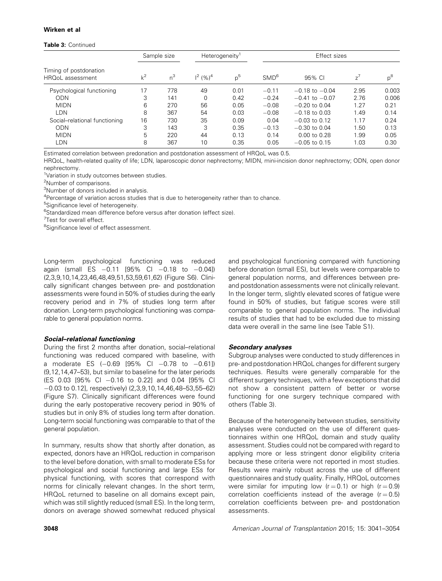#### Table 3: Continued

|                                            |       | Sample size | Heterogeneity <sup>1</sup> |       |                  | Effect sizes       |       |       |
|--------------------------------------------|-------|-------------|----------------------------|-------|------------------|--------------------|-------|-------|
| Timing of postdonation<br>HRQoL assessment | $k^2$ | $n^3$       | $1^2$ (%) <sup>4</sup>     | $p^5$ | SMD <sup>6</sup> | 95% CI             | $7^7$ | $p^8$ |
| Psychological functioning                  | 17    | 778         | 49                         | 0.01  | $-0.11$          | $-0.18$ to $-0.04$ | 2.95  | 0.003 |
| ODN                                        | 3     | 141         | $\Omega$                   | 0.42  | $-0.24$          | $-0.41$ to $-0.07$ | 2.76  | 0.006 |
| <b>MIDN</b>                                | 6     | 270         | 56                         | 0.05  | $-0.08$          | $-0.20$ to 0.04    | 1.27  | 0.21  |
| LDN                                        | 8     | 367         | 54                         | 0.03  | $-0.08$          | $-0.18$ to 0.03    | 1.49  | 0.14  |
| Social-relational functioning              | 16    | 730         | 35                         | 0.09  | 0.04             | $-0.03$ to 0.12    | 1.17  | 0.24  |
| ODN                                        | 3     | 143         | 3                          | 0.35  | $-0.13$          | $-0.30$ to $0.04$  | 1.50  | 0.13  |
| <b>MIDN</b>                                | 5     | 220         | 44                         | 0.13  | 0.14             | $0.00$ to $0.28$   | 1.99  | 0.05  |
| LDN                                        | 8     | 367         | 10                         | 0.35  | 0.05             | $-0.05$ to 0.15    | 1.03  | 0.30  |

Estimated correlation between predonation and postdonation assessment of HRQoL was 0.5.

HRQoL, health-related quality of life; LDN, laparoscopic donor nephrectomy; MIDN, mini-incision donor nephrectomy; ODN, open donor nephrectomy.

<sup>1</sup>Variation in study outcomes between studies.

<sup>2</sup>Number of comparisons.

<sup>3</sup>Number of donors included in analysis.

<sup>4</sup>Percentage of variation across studies that is due to heterogeneity rather than to chance.

<sup>5</sup>Significance level of heterogeneity.

<sup>6</sup>Standardized mean difference before versus after donation (effect size).

<sup>7</sup>Test for overall effect.

<sup>8</sup>Significance level of effect assessment.

Long-term psychological functioning was reduced again (small ES  $-0.11$  [95% CI  $-0.18$  to  $-0.04$ ]) (2,3,9,10,14,23,46,48,49,51,53,59,61,62) (Figure S6). Clinically significant changes between pre- and postdonation assessments were found in 50% of studies during the early recovery period and in 7% of studies long term after donation. Long-term psychological functioning was comparable to general population norms.

#### Social–relational functioning

During the first 2 months after donation, social–relational functioning was reduced compared with baseline, with a moderate ES  $(-0.69 \, [95\% \, Cl \, -0.78 \, to \, -0.61])$ (9,12,14,47–53), but similar to baseline for the later periods (ES 0.03 [95% CI -0.16 to 0.22] and 0.04 [95% CI  $-0.03$  to 0.12], respectively) (2,3,9,10,14,46,48-53,55-62) (Figure S7). Clinically significant differences were found during the early postoperative recovery period in 90% of studies but in only 8% of studies long term after donation. Long-term social functioning was comparable to that of the general population.

In summary, results show that shortly after donation, as expected, donors have an HRQoL reduction in comparison to the level before donation, with small to moderate ESs for psychological and social functioning and large ESs for physical functioning, with scores that correspond with norms for clinically relevant changes. In the short term, HRQoL returned to baseline on all domains except pain, which was still slightly reduced (small ES). In the long term, donors on average showed somewhat reduced physical and psychological functioning compared with functioning before donation (small ES), but levels were comparable to general population norms, and differences between preand postdonation assessments were not clinically relevant. In the longer term, slightly elevated scores of fatigue were found in 50% of studies, but fatigue scores were still comparable to general population norms. The individual results of studies that had to be excluded due to missing data were overall in the same line (see Table S1).

#### Secondary analyses

Subgroup analyses were conducted to study differences in pre- and postdonation HRQoL changes for different surgery techniques. Results were generally comparable for the different surgery techniques, with a few exceptions that did not show a consistent pattern of better or worse functioning for one surgery technique compared with others (Table 3).

Because of the heterogeneity between studies, sensitivity analyses were conducted on the use of different questionnaires within one HRQoL domain and study quality assessment. Studies could not be compared with regard to applying more or less stringent donor eligibility criteria because these criteria were not reported in most studies. Results were mainly robust across the use of different questionnaires and study quality. Finally, HRQoL outcomes were similar for imputing low  $(r = 0.1)$  or high  $(r = 0.9)$ correlation coefficients instead of the average  $(r = 0.5)$ correlation coefficients between pre- and postdonation assessments.

3048 *American Journal of Transplantation* 2015; 15: 3041–3054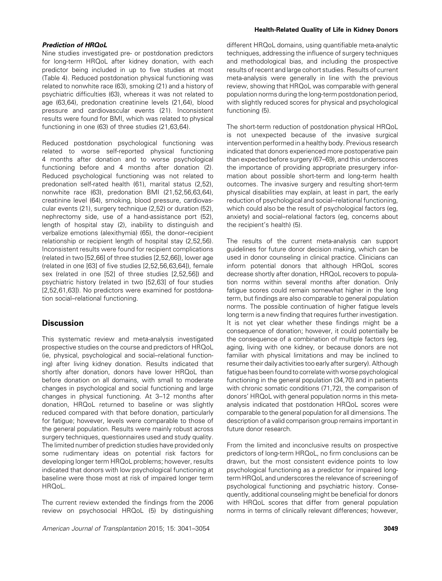#### Prediction of HRQoL

Nine studies investigated pre- or postdonation predictors for long-term HRQoL after kidney donation, with each predictor being included in up to five studies at most (Table 4). Reduced postdonation physical functioning was related to nonwhite race (63), smoking (21) and a history of psychiatric difficulties (63), whereas it was not related to age (63,64), predonation creatinine levels (21,64), blood pressure and cardiovascular events (21). Inconsistent results were found for BMI, which was related to physical functioning in one (63) of three studies (21,63,64).

Reduced postdonation psychological functioning was related to worse self-reported physical functioning 4 months after donation and to worse psychological functioning before and 4 months after donation (2). Reduced psychological functioning was not related to predonation self-rated health (61), marital status (2,52), nonwhite race (63), predonation BMI (21,52,56,63,64), creatinine level (64), smoking, blood pressure, cardiovascular events (21), surgery technique (2,52) or duration (52), nephrectomy side, use of a hand-assistance port (52), length of hospital stay (2), inability to distinguish and verbalize emotions (alexithymia) (65), the donor–recipient relationship or recipient length of hospital stay (2,52,56). Inconsistent results were found for recipient complications (related in two [52,66] of three studies [2,52,66]), lower age (related in one [63] of five studies [2,52,56,63,64]), female sex (related in one [52] of three studies [2,52,56]) and psychiatric history (related in two [52,63] of four studies [2,52,61,63]). No predictors were examined for postdonation social–relational functioning.

#### **Discussion**

This systematic review and meta-analysis investigated prospective studies on the course and predictors of HRQoL (ie, physical, psychological and social–relational functioning) after living kidney donation. Results indicated that shortly after donation, donors have lower HRQoL than before donation on all domains, with small to moderate changes in psychological and social functioning and large changes in physical functioning. At 3–12 months after donation, HRQoL returned to baseline or was slightly reduced compared with that before donation, particularly for fatigue; however, levels were comparable to those of the general population. Results were mainly robust across surgery techniques, questionnaires used and study quality. The limited number of prediction studies have provided only some rudimentary ideas on potential risk factors for developing longer term HRQoL problems; however, results indicated that donors with low psychological functioning at baseline were those most at risk of impaired longer term HRQoL.

The current review extended the findings from the 2006 review on psychosocial HRQoL (5) by distinguishing

*American Journal of Transplantation* 2015; 15: 3041–3054 3049

#### Health-Related Quality of Life in Kidney Donors

different HRQoL domains, using quantifiable meta-analytic techniques, addressing the influence of surgery techniques and methodological bias, and including the prospective results of recent and large cohort studies. Results of current meta-analysis were generally in line with the previous review, showing that HRQoL was comparable with general population norms during the long-term postdonation period, with slightly reduced scores for physical and psychological functioning (5).

The short-term reduction of postdonation physical HRQoL is not unexpected because of the invasive surgical intervention performed in a healthy body. Previous research indicated that donors experienced more postoperative pain than expected before surgery (67–69), and this underscores the importance of providing appropriate presurgery information about possible short-term and long-term health outcomes. The invasive surgery and resulting short-term physical disabilities may explain, at least in part, the early reduction of psychological and social–relational functioning, which could also be the result of psychological factors (eg, anxiety) and social–relational factors (eg, concerns about the recipient's health) (5).

The results of the current meta-analysis can support guidelines for future donor decision making, which can be used in donor counseling in clinical practice. Clinicians can inform potential donors that although HRQoL scores decrease shortly after donation, HRQoL recovers to population norms within several months after donation. Only fatigue scores could remain somewhat higher in the long term, but findings are also comparable to general population norms. The possible continuation of higher fatigue levels long term is a new finding that requires further investigation. It is not yet clear whether these findings might be a consequence of donation; however, it could potentially be the consequence of a combination of multiple factors (eg, aging, living with one kidney, or because donors are not familiar with physical limitations and may be inclined to resume their daily activities too early after surgery). Although fatigue has been found to correlate with worse psychological functioning in the general population (34,70) and in patients with chronic somatic conditions (71,72), the comparison of donors' HRQoL with general population norms in this metaanalysis indicated that postdonation HRQoL scores were comparable to the general population for all dimensions. The description of a valid comparison group remains important in future donor research.

From the limited and inconclusive results on prospective predictors of long-term HRQoL, no firm conclusions can be drawn, but the most consistent evidence points to low psychological functioning as a predictor for impaired longterm HRQoL and underscores the relevance of screening of psychological functioning and psychiatric history. Consequently, additional counseling might be beneficial for donors with HRQoL scores that differ from general population norms in terms of clinically relevant differences; however,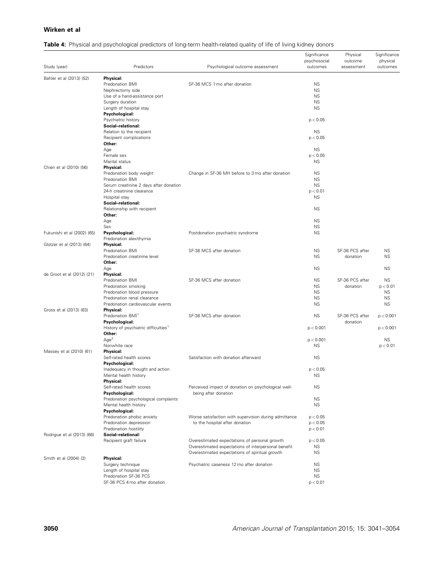#### Table 4: Physical and psychological predictors of long-term health-related quality of life of living kidney donors

| Study (year)                | Predictors                                                          | Psychological outcome assessment                      | Significance<br>psychosocial<br>outcomes | Physical<br>outcome<br>assessment | Significance<br>physical<br>outcomes |
|-----------------------------|---------------------------------------------------------------------|-------------------------------------------------------|------------------------------------------|-----------------------------------|--------------------------------------|
| Bahler et al (2013) (52)    | Physical:                                                           |                                                       |                                          |                                   |                                      |
|                             | Predonation BMI                                                     | SF-36 MCS 1 mo after donation                         | <b>NS</b>                                |                                   |                                      |
|                             | Nephrectomy side                                                    |                                                       | <b>NS</b>                                |                                   |                                      |
|                             | Use of a hand-assistance port                                       |                                                       | <b>NS</b>                                |                                   |                                      |
|                             | Surgery duration                                                    |                                                       | <b>NS</b>                                |                                   |                                      |
|                             | Length of hospital stay                                             |                                                       | <b>NS</b>                                |                                   |                                      |
|                             | Psychological:                                                      |                                                       |                                          |                                   |                                      |
|                             | Psychiatric history                                                 |                                                       | p < 0.05                                 |                                   |                                      |
|                             | Social-relational:<br>Relation to the recipient                     |                                                       | <b>NS</b>                                |                                   |                                      |
|                             | Recipient complications                                             |                                                       | p < 0.05                                 |                                   |                                      |
|                             | Other:                                                              |                                                       |                                          |                                   |                                      |
|                             | Age                                                                 |                                                       | <b>NS</b>                                |                                   |                                      |
|                             | Female sex                                                          |                                                       | p < 0.05                                 |                                   |                                      |
|                             | Marital status                                                      |                                                       | <b>NS</b>                                |                                   |                                      |
| Chien et al (2010) (56)     | <b>Physical:</b>                                                    |                                                       |                                          |                                   |                                      |
|                             | Predonation body weight                                             | Change in SF-36 MH before to 3 mo after donation      | <b>NS</b>                                |                                   |                                      |
|                             | Predonation BMI                                                     |                                                       | <b>NS</b>                                |                                   |                                      |
|                             | Serum creatinine 2 days after donation<br>24-h creatinine clearance |                                                       | <b>NS</b><br>p < 0.01                    |                                   |                                      |
|                             | Hospital stay                                                       |                                                       | <b>NS</b>                                |                                   |                                      |
|                             | Social-relational:                                                  |                                                       |                                          |                                   |                                      |
|                             | Relationship with recipient                                         |                                                       | <b>NS</b>                                |                                   |                                      |
|                             | Other:                                                              |                                                       |                                          |                                   |                                      |
|                             | Age                                                                 |                                                       | <b>NS</b>                                |                                   |                                      |
|                             | Sex                                                                 |                                                       | <b>NS</b>                                |                                   |                                      |
| Fukunishi et al (2002) (65) | Psychological:                                                      | Postdonation psychiatric syndrome                     | <b>NS</b>                                |                                   |                                      |
|                             | Predonation alexithymia                                             |                                                       |                                          |                                   |                                      |
| Glotzer et al (2013) (64)   | Physical:<br>Predonation BMI                                        | SF-36 MCS after donation                              | <b>NS</b>                                | SF-36 PCS after                   | <b>NS</b>                            |
|                             | Predonation creatinine level                                        |                                                       | <b>NS</b>                                | donation                          | <b>NS</b>                            |
|                             | Other:                                                              |                                                       |                                          |                                   |                                      |
|                             | Age                                                                 |                                                       | <b>NS</b>                                |                                   | <b>NS</b>                            |
| de Groot et al (2012) (21)  | Physical:                                                           |                                                       |                                          |                                   |                                      |
|                             | Predonation BMI                                                     | SF-36 MCS after donation                              | <b>NS</b>                                | SF-36 PCS after                   | NS.                                  |
|                             | Predonation smoking                                                 |                                                       | <b>NS</b>                                | donation                          | p < 0.01                             |
|                             | Predonation blood pressure                                          |                                                       | <b>NS</b>                                |                                   | <b>NS</b>                            |
|                             | Predonation renal clearance                                         |                                                       | <b>NS</b>                                |                                   | <b>NS</b>                            |
| Gross et al (2013) (63)     | Predonation cardiovascular events<br><b>Physical:</b>               |                                                       | <b>NS</b>                                |                                   | <b>NS</b>                            |
|                             | Predonation BMI <sup>1</sup>                                        | SF-36 MCS after donation                              | <b>NS</b>                                | SF-36 PCS after                   | p < 0.001                            |
|                             | Psychological:                                                      |                                                       |                                          | donation                          |                                      |
|                             | History of psychiatric difficulties <sup>1</sup>                    |                                                       | p < 0.001                                |                                   | p < 0.001                            |
|                             | Other:                                                              |                                                       |                                          |                                   |                                      |
|                             | Age <sup>2</sup>                                                    |                                                       | p < 0.001                                |                                   | <b>NS</b>                            |
|                             | Nonwhite race                                                       |                                                       | <b>NS</b>                                |                                   | p < 0.01                             |
| Massey et al (2010) (61)    | <b>Physical:</b>                                                    |                                                       |                                          |                                   |                                      |
|                             | Self-rated health scores<br>Psychological:                          | Satisfaction with donation afterward                  | <b>NS</b>                                |                                   |                                      |
|                             | Inadequacy in thought and action                                    |                                                       | p < 0.05                                 |                                   |                                      |
|                             | Mental health history                                               |                                                       | <b>NS</b>                                |                                   |                                      |
|                             | Physical:                                                           |                                                       |                                          |                                   |                                      |
|                             | Self-rated health scores                                            | Perceived impact of donation on psychological well-   | ΝS                                       |                                   |                                      |
|                             | Psychological:                                                      | being after donation                                  |                                          |                                   |                                      |
|                             | Predonation psychological complaints                                |                                                       | <b>NS</b>                                |                                   |                                      |
|                             | Mental health history                                               |                                                       | <b>NS</b>                                |                                   |                                      |
|                             | Psychological:<br>Predonation phobic anxiety                        | Worse satisfaction with supervision during admittance | p < 0.05                                 |                                   |                                      |
|                             | Predonation depression                                              | to the hospital after donation                        | p < 0.05                                 |                                   |                                      |
|                             | Predonation hostility                                               |                                                       | p < 0.01                                 |                                   |                                      |
| Rodrigue et al (2013) (66)  | Social-relational:                                                  |                                                       |                                          |                                   |                                      |
|                             | Recipient graft failure                                             | Overestimated expectations of personal growth         | p < 0.05                                 |                                   |                                      |
|                             |                                                                     | Overestimated expectations of interpersonal benefit   | <b>NS</b>                                |                                   |                                      |
|                             |                                                                     | Overestimated expectations of spiritual growth        | <b>NS</b>                                |                                   |                                      |
| Smith et al (2004) (2)      | Physical:                                                           |                                                       |                                          |                                   |                                      |
|                             | Surgery technique                                                   | Psychiatric caseness 12 mo after donation             | <b>NS</b>                                |                                   |                                      |
|                             | Length of hospital stay<br>Predonation SF-36 PCS                    |                                                       | <b>NS</b><br><b>NS</b>                   |                                   |                                      |
|                             | SF-36 PCS 4 mo after donation                                       |                                                       | p < 0.01                                 |                                   |                                      |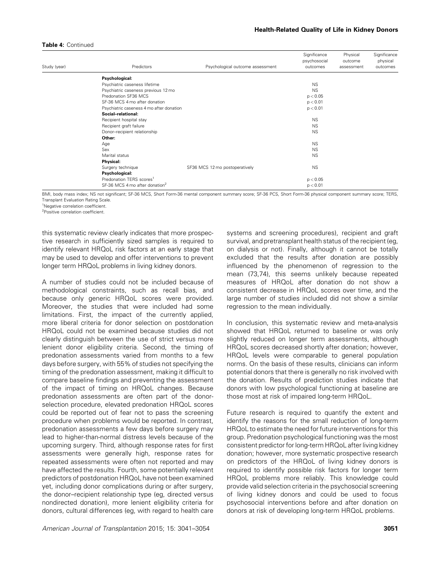#### Table 4: Continued

| Study (year)<br>Predictors                 | Psychological outcome assessment | Significance<br>psychosocial<br>outcomes | Physical<br>outcome<br>assessment | Significance<br>physical<br>outcomes |
|--------------------------------------------|----------------------------------|------------------------------------------|-----------------------------------|--------------------------------------|
|                                            |                                  |                                          |                                   |                                      |
| Psychological:                             |                                  |                                          |                                   |                                      |
| Psychiatric caseness lifetime              |                                  | <b>NS</b>                                |                                   |                                      |
| Psychiatric caseness previous 12 mo        |                                  | <b>NS</b>                                |                                   |                                      |
| Predonation SF36 MCS                       |                                  | p < 0.05                                 |                                   |                                      |
| SF-36 MCS 4 mo after donation              |                                  | p < 0.01                                 |                                   |                                      |
| Psychiatric caseness 4 mo after donation   |                                  | p < 0.01                                 |                                   |                                      |
| Social-relational:                         |                                  |                                          |                                   |                                      |
| Recipient hospital stay                    |                                  | <b>NS</b>                                |                                   |                                      |
| Recipient graft failure                    |                                  | <b>NS</b>                                |                                   |                                      |
| Donor-recipient relationship               |                                  | <b>NS</b>                                |                                   |                                      |
| Other:                                     |                                  |                                          |                                   |                                      |
| Age                                        |                                  | <b>NS</b>                                |                                   |                                      |
| Sex                                        |                                  | <b>NS</b>                                |                                   |                                      |
| Marital status                             |                                  | <b>NS</b>                                |                                   |                                      |
| Physical:                                  |                                  |                                          |                                   |                                      |
| Surgery technique                          | SF36 MCS 12 mo postoperatively   | <b>NS</b>                                |                                   |                                      |
| Psychological:                             |                                  |                                          |                                   |                                      |
| Predonation TERS scores <sup>1</sup>       |                                  | p < 0.05                                 |                                   |                                      |
| SF-36 MCS 4 mo after donation <sup>2</sup> |                                  | p < 0.01                                 |                                   |                                      |

BMI, body mass index; NS not significant; SF-36 MCS, Short Form-36 mental component summary score; SF-36 PCS, Short Form-36 physical component summary score; TERS, Transplant Evaluation Rating Scale.

<sup>1</sup>Negative correlation coefficient.

2 Positive correlation coefficient.

this systematic review clearly indicates that more prospective research in sufficiently sized samples is required to identify relevant HRQoL risk factors at an early stage that may be used to develop and offer interventions to prevent longer term HRQoL problems in living kidney donors.

A number of studies could not be included because of methodological constraints, such as recall bias, and because only generic HRQoL scores were provided. Moreover, the studies that were included had some limitations. First, the impact of the currently applied, more liberal criteria for donor selection on postdonation HRQoL could not be examined because studies did not clearly distinguish between the use of strict versus more lenient donor eligibility criteria. Second, the timing of predonation assessments varied from months to a few days before surgery, with 55% of studies not specifying the timing of the predonation assessment, making it difficult to compare baseline findings and preventing the assessment of the impact of timing on HRQoL changes. Because predonation assessments are often part of the donorselection procedure, elevated predonation HRQoL scores could be reported out of fear not to pass the screening procedure when problems would be reported. In contrast, predonation assessments a few days before surgery may lead to higher-than-normal distress levels because of the upcoming surgery. Third, although response rates for first assessments were generally high, response rates for repeated assessments were often not reported and may have affected the results. Fourth, some potentially relevant predictors of postdonation HRQoL have not been examined yet, including donor complications during or after surgery, the donor–recipient relationship type (eg, directed versus nondirected donation), more lenient eligibility criteria for donors, cultural differences (eg, with regard to health care

*American Journal of Transplantation* 2015; 15: 3041–3054 3051

systems and screening procedures), recipient and graft survival, and pretransplant health status of the recipient (eg, on dialysis or not). Finally, although it cannot be totally excluded that the results after donation are possibly influenced by the phenomenon of regression to the mean (73,74), this seems unlikely because repeated measures of HRQoL after donation do not show a consistent decrease in HRQoL scores over time, and the large number of studies included did not show a similar regression to the mean individually.

In conclusion, this systematic review and meta-analysis showed that HRQoL returned to baseline or was only slightly reduced on longer term assessments, although HRQoL scores decreased shortly after donation; however, HRQoL levels were comparable to general population norms. On the basis of these results, clinicians can inform potential donors that there is generally no risk involved with the donation. Results of prediction studies indicate that donors with low psychological functioning at baseline are those most at risk of impaired long-term HRQoL.

Future research is required to quantify the extent and identify the reasons for the small reduction of long-term HRQoL to estimate the need for future interventions for this group. Predonation psychological functioning was the most consistent predictor for long-term HRQoL after living kidney donation; however, more systematic prospective research on predictors of the HRQoL of living kidney donors is required to identify possible risk factors for longer term HRQoL problems more reliably. This knowledge could provide valid selection criteria in the psychosocial screening of living kidney donors and could be used to focus psychosocial interventions before and after donation on donors at risk of developing long-term HRQoL problems.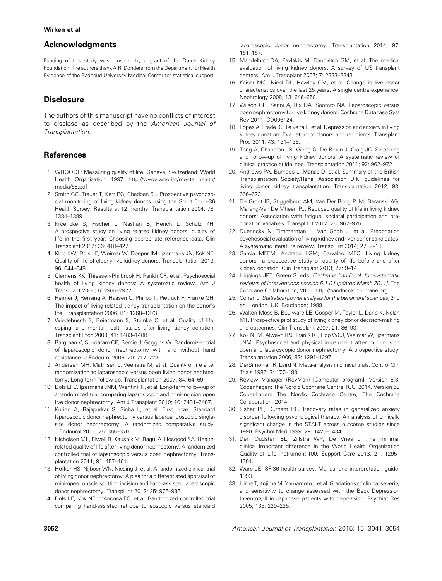#### Acknowledgments

Funding of this study was provided by a grant of the Dutch Kidney Foundation. The authors thank A.R. Donders from the Department for Health Evidence of the Radboud University Medical Center for statistical support.

#### **Disclosure**

The authors of this manuscript have no conflicts of interest to disclose as described by the *American Journal of Transplantation*.

#### References

- 1. WHOQOL: Measuring quality of life. Geneva, Switzerland: World Health Organization; 1997. [http://www.who.int/mental\\_health/](http://www.who.int/mental_health/media/68.pdf) [media/68.pdf.](http://www.who.int/mental_health/media/68.pdf)
- 2. Smith GC, Trauer T, Kerr PG, Chadban SJ. Prospective psychosocial monitoring of living kidney donors using the Short Form-36 Health Survey: Results at 12 months. Transplantation 2004; 78: 1384–1389.
- 3. Kroencke S, Fischer L, Nashan B, Herich L, Schulz KH. A prospective study on living related kidney donors' quality of life in the first year: Choosing appropriate reference data. Clin Transplant 2012; 26: 418–427.
- 4. Klop KW, Dols LF, Weimar W, Dooper IM, Ijzermans JN, Kok NF. Quality of life of elderly live kidney donors. Transplantation 2013; 96: 644–648.
- 5. Clemens KK, Thiessen-Philbrook H, Parikh CR, et al. Psychosocial health of living kidney donors: A systematic review. Am J Transplant 2006; 6: 2965–2977.
- 6. Reimer J, Rensing A, Haasen C, Philipp T, Pietruck F, Franke GH. The impact of living-related kidney transplantation on the donor's life. Transplantation 2006; 81: 1268–1273.
- 7. Wiedebusch S, Reiermann S, Steinke C, et al. Quality of life, coping, and mental health status after living kidney donation. Transplant Proc 2009; 41: 1483–1488.
- 8. Bargman V, Sundaram CP, Bernie J, Goggins W. Randomized trial of laparoscopic donor nephrectomy with and without hand assistance. J Endourol 2006; 20: 717–722.
- 9. Andersen MH, Mathisen L, Veenstra M, et al. Quality of life after randomization to laparoscopic versus open living donor nephrectomy: Long-term follow-up. Transplantation 2007; 84: 64–69.
- 10. Dols LFC, Ijzermans JNM, Wentink N, et al. Long-term follow-up of a randomized trial comparing laparoscopic and mini-incision open live donor nephrectomy. Am J Transplant 2010; 10: 2481–2487.
- 11. Kurien A, Rajapurkar S, Sinha L, et al. First prize: Standard laparoscopic donor nephrectomy versus laparoendoscopic singlesite donor nephrectomy: A randomized comparative study. J Endourol 2011; 25: 365–370.
- 12. Nicholson ML, Elwell R, Kaushik M, Bagul A, Hosgood SA. Healthrelated quality of life after living donor nephrectomy: A randomized controlled trial of laparoscopic versus open nephrectomy. Transplantation 2011; 91: 457–461.
- 13. Hofker HS, Nijboer WN, Niesing J, et al. A randomized clinical trial of living donor nephrectomy: A plea for a differentiated appraisal of mini-open muscle splitting incision and hand-assisted laparoscopic donor nephrectomy. Transpl Int 2012; 25: 976–986.
- 14. Dols LF, Kok NF, d'Ancona FC, et al. Randomized controlled trial comparing hand-assisted retroperitoneoscopic versus standard

laparoscopic donor nephrectomy. Transplantation 2014; 97: 161–167.

- 15. Mandelbrot DA, Pavlakis M, Danovitch GM, et al. The medical evaluation of living kidney donors: A survey of US transplant centers. Am J Transplant 2007; 7: 2333–2343.
- 16. Kaisar MO, Nicol DL, Hawley CM, et al. Change in live donor characteristics over the last 25 years: A single centre experience. Nephrology 2008; 13: 646–650.
- 17. Wilson CH, Sanni A, Rix DA, Soomro NA. Laparoscopic versus open nephrectomy for live kidney donors. Cochrane Database Syst Rev 2011: CD006124.
- 18. Lopes A, Frade IC, Teixeira L, et al. Depression and anxiety in living kidney donation: Evaluation of donors and recipients. Transplant Proc 2011; 43: 131–136.
- 19. Tong A, Chapman JR, Wong G, De Bruijn J, Craig JC. Screening and follow-up of living kidney donors: A systematic review of clinical practice guidelines. Transplantation 2011; 92: 962–972.
- 20. Andrews PA, Burnapp L, Manas D, et al. Summary of the British Transplantation Society/Renal Association U.K. guidelines for living donor kidney transplantation. Transplantation 2012; 93: 666–673.
- 21. De Groot IB, Stiggelbout AM, Van Der Boog PJM, Baranski AG, Marang-Van De Mheen PJ. Reduced quality of life in living kidney donors: Association with fatigue, societal participation and predonation variables. Transpl Int 2012; 25: 967–975.
- 22. Duerinckx N, Timmerman L, Van Gogh J, et al. Predonation psychosocial evaluation of living kidney and liver donor candidates: A systematic literature review. Transpl Int 2014; 27: 2–18.
- 23. Garcia MFFM, Andrade LGM, Carvalho MFC. Living kidney donors—a prospective study of quality of life before and after kidney donation. Clin Transplant 2013; 27: 9–14.
- 24. Higgings JPT, Green S, eds. *Cochrane handbook for systematic reviews of interventions version 5.1.0 [updated March 2011]*. The Cochrane Collaboration; 2011.<http://handbook.cochrane.org>
- 25. Cohen J. *Statistical power analysis for the behavioral sciences*, 2nd ed. London, UK: Routledge; 1988.
- 26. Walton-Moss B, Boulware LE, Cooper M, Taylor L, Dane K, Nolan MT. Prospective pilot study of living kidney donor decision-making and outcomes. Clin Transplant 2007; 21: 86–93.
- 27. Kok NFM, Alwayn IPJ, Tran KTC, Hop WCJ, Weimar W, Ijzermans JNM. Psychosocial and physical impairment after mini-incision open and laparoscopic donor nephrectomy: A prospective study. Transplantation 2006; 82: 1291–1297.
- 28. DerSimonian R, Laird N. Meta-analysis in clinical trials. Control Clin Trials 1986; 7: 177–188.
- 29. Review Manager (RevMan) [Computer program]. Version 5.3. Copenhagen: The Nordic Cochrane Centre TCC, 2014. Version 53 Copenhagen: The Nordic Cochrane Centre, The Cochrane Collaboration, 2014.
- 30. Fisher PL, Durham RC. Recovery rates in generalized anxiety disorder following psychological therapy: An analysis of clinically significant change in the STAI-T across outcome studies since 1990. Psychol Med 1999; 29: 1425–1434.
- 31. Den Oudsten BL, Zijlstra WP, De Vries J. The minimal clinical important difference in the World Health Organization Quality of Life instrument-100. Support Care 2013; 21: 1295– 1301.
- 32. Ware JE. SF-36 health survey: Manual and interpretation guide, 1993.
- 33. Hiroe T, Kojima M, Yamamoto I, et al. Gradations of clinical severity and sensitivity to change assessed with the Beck Depression Inventory-II in Japanese patients with depression. Psychiat Res 2005; 135: 229–235.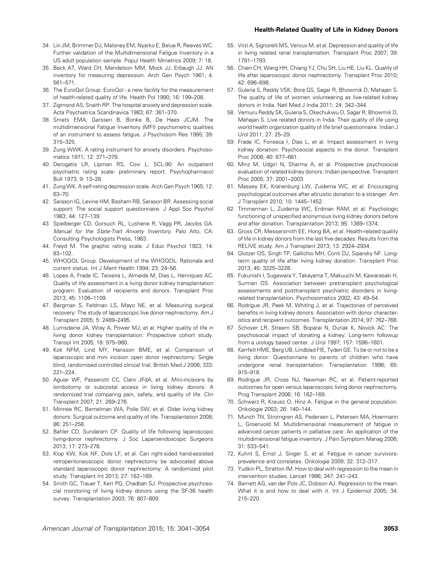#### Health-Related Quality of Life in Kidney Donors

- 34. Lin JM, Brimmer DJ, Maloney EM, Nyarko E, Belue R, Reeves WC. Further validation of the Multidimensional Fatigue Inventory in a US adult population sample. Popul Health Mmetrics 2009; 7: 18.
- 35. Beck AT, Ward CH, Mendelson MM, Mock JJ, Erbaugh JJ. AN inventory for measuring depression. Arch Gen Psych 1961; 4: 561–571.
- 36. The EuroQol Group. EuroQol a new facility for the measurement of health-related quality of life. Health Pol 1990; 16: 199–208.
- 37. Zigmond AS, Snaith RP. The hospital anxiety and depression scale. Acta Psychiatrica Scandinavica 1983; 67: 361–370.
- 38. Smets EMA, Garssen B, Bonke B, De Haes JCJM. The multidimensional Fatigue Inventory (MFI) psychometric qualities of an instrument to assess fatigue. J Psychosom Res 1995; 39: 315–325.
- 39. Zung WWK. A rating instrument for anxiety disorders. Psychosomatics 1971; 12: 371–379.
- 40. Derogatis LR, Lipman RS, Covi L. SCL-90: An outpatient psychiatric rating scale- preliminary report. Psychopharmacol Bull 1973; 9: 13–28.
- 41. Zung WK. A self-rating depression scale. Arch Gen Psych 1965; 12: 63–70.
- 42. Sarason IG, Levine HM, Basham RB, Sarason BR. Assessing social support: The social support questionnaire. J Appl Soc Psychol 1983; 44: 127–139.
- 43. Spielberger CD, Gorsuch RL, Lushene R, Vagg PR, Jacobs GA. *Manual for the State-Trait Anxiety Inventory*. Palo Alto, CA: Consulting Psychologists Press, 1983.
- 44. Freyd M. The graphic rating scale. J Educ Psychol 1923; 14: 83–102.
- 45. WHOQOL Group. Development of the WHOQOL: Rationale and current status. Int J Ment Health 1994; 23: 24–56.
- 46. Lopes A, Frade IC, Teixeira L, Almeida M, Dias L, Henriques AC. Quality of life assessment in a living donor kidney transplantation program: Evaluation of recipients and donors. Transplant Proc 2013; 45: 1106–1109.
- 47. Bergman S, Feldman LS, Mayo NE, et al. Measuring surgical recovery: The study of laparoscopic live donor nephrectomy. Am J Transplant 2005; 5: 2489–2495.
- 48. Lumsdaine JA, Wray A, Power MJ, et al. Higher quality of life in living donor kidney transplantation: Prospective cohort study. Transpl Int 2005; 18: 975–980.
- 49. Kok NFM, Lind MY, Hansson BME, et al. Comparison of laparoscopic and mini incision open donor nephrectomy: Single blind, randomised controlled clinical trial. British Med J 2006; 333: 221–224.
- 50. Aguiar WF, Passerotti CC, Claro JFdA, et al. Mini-incisions by lombotomy or subcostal access in living kidney donors: A randomized trial comparing pain, safety, and quality of life. Clin Transplant 2007; 21: 269–276.
- 51. Minnee RC, Bemelman WA, Polle SW, et al. Older living kidney donors: Surgical outcome and quality of life. Transplantation 2008; 86: 251–256.
- 52. Bahler CD, Sundaram CP. Quality of life following laparoscopic living-donor nephrectomy. J Soc Laparoendoscopic Surgeons 2013; 17: 273–278.
- 53. Klop KW, Kok NF, Dols LF, et al. Can right-sided hand-assisted retroperitoneoscopic donor nephrectomy be advocated above standard laparoscopic donor nephrectomy: A randomized pilot study. Transplant Int 2013; 27: 162–169.
- 54. Smith GC, Trauer T, Kerr PG, Chadban SJ. Prospective psychosocial monitoring of living kidney donors using the SF-36 health survey. Transplantation 2003; 76: 807–809.
- 55. Virzi A, Signorelli MS, Veroux M, et al. Depression and quality of life in living related renal transplantation. Transplant Proc 2007; 39: 1791–1793.
- 56. Chien CH, Wang HH, Chiang YJ, Chu SH, Liu HE, Liu KL. Quality of life after laparoscopic donor nephrectomy. Transplant Proc 2010; 42: 696–698.
- 57. Guleria S, Reddy VSK, Bora GS, Sagar R, Bhowmik D, Mahajan S. The quality of life of women volunteering as live-related kidney donors in India. Natl Med J India 2011; 24: 342–344.
- 58. Vemuru Reddy SK, Guleria S, Okechukwu O, Sagar R, Bhowmik D, Mahajan S. Live related donors in India: Their quality of life using world health organization quality of life brief questionnaire. Indian J Urol 2011; 27: 25–29.
- 59. Frade IC, Fonseca I, Dias L, et al. Impact assessment in living kidney donation: Psychosocial aspects in the donor. Transplant Proc 2008; 40: 677–681.
- 60. Minz M, Udgiri N, Sharma A, et al. Prospective psychosocial evaluation of related kidney donors: Indian perspective. Transplant Proc 2005; 37: 2001–2003.
- 61. Massey EK, Kranenburg LW, Zuidema WC, et al. Encouraging psychological outcomes after altruistic donation to a stranger. Am J Transplant 2010; 10: 1445–1452.
- 62. Timmerman L, Zuidema WC, Erdman RAM, et al. Psychologic functioning of unspecified anonymous living kidney donors before and after donation. Transplantation 2013; 95: 1369–1374.
- 63. Gross CR, Messersmith EE, Hong BA, et al. Health-related quality of life in kidney donors from the last five decades: Results from the RELIVE study. Am J Transplant 2013; 13: 2924–2934.
- 64. Glotzer OS, Singh TP, Gallichio MH, Conti DJ, Siparsky NF. Longterm quality of life after living kidney donation. Transplant Proc 2013; 45: 3225–3228.
- 65. Fukunishi I, Sugawara Y, Takayama T, Makuuchi M, Kawarasaki H, Surman OS. Association between pretransplant psychological assessments and posttransplant psychiatric disorders in livingrelated transplantation. Psychosomatics 2002; 43: 49–54.
- 66. Rodrigue JR, Paek M, Whiting J, et al. Trajectories of perceived benefits in living kidney donors: Association with donor characteristics and recipient outcomes. Transplantation 2014; 97: 762–768.
- 67. Schover LR, Streem SB, Boparai N, Duriak K, Novick AC. The psychosocial impact of donating a kidney: Long-term followup from a urology based center. J Urol 1997; 157: 1596–1601.
- 68. Karrfelt HME, Berg UB, Lindblad FIE, Tyden GE. To be or not to be a living donor: Questionnaire to parents of children who have undergone renal transplantation. Transplantation 1998; 65: 915–918.
- 69. Rodrigue JR, Cross NJ, Newman RC, et al. Patient-reported outcomes for open versus laparoscopic living donor nephrectomy. Prog Transplant 2006; 16: 162–169.
- 70. Schwarz R, Krauss O, Hinz A. Fatigue in the general population. Onkologie 2003; 26: 140–144.
- 71. Munch TN, Stromgren AS, Pedersen L, Petersen MA, Hoermann L, Groenvold M. Multidimensional measurement of fatigue in advanced cancer patients in palliative care: An application of the multidimensional fatigue inventory. J Pain Symptom Manag 2006; 31: 533–541.
- 72. Kuhnt S, Ernst J, Singer S, et al. Fatigue in cancer survivorsprevalence and correlates. Onkologie 2009; 32: 312–317.
- 73. Yudkin PL, Stratton IM. How to deal with regression to the mean in intervention studies. Lancet 1996; 347: 241–243.
- 74. Barnett AG, van der Pols JC, Dobson AJ. Regression to the mean: What it is and how to deal with it. Int J Epidemiol 2005; 34: 215–220.